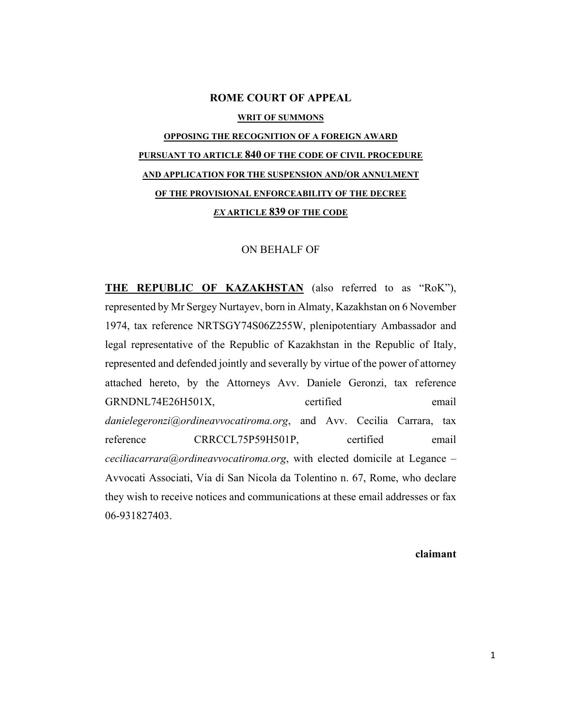#### **ROME COURT OF APPEAL**

#### **WRIT OF SUMMONS**

# **OPPOSING THE RECOGNITION OF A FOREIGN AWARD PURSUANT TO ARTICLE 840 OF THE CODE OF CIVIL PROCEDURE AND APPLICATION FOR THE SUSPENSION AND/OR ANNULMENT OF THE PROVISIONAL ENFORCEABILITY OF THE DECREE**  *EX* **ARTICLE 839 OF THE CODE**

#### ON BEHALF OF

**THE REPUBLIC OF KAZAKHSTAN** (also referred to as "RoK"), represented by Mr Sergey Nurtayev, born in Almaty, Kazakhstan on 6 November 1974, tax reference NRTSGY74S06Z255W, plenipotentiary Ambassador and legal representative of the Republic of Kazakhstan in the Republic of Italy, represented and defended jointly and severally by virtue of the power of attorney attached hereto, by the Attorneys Avv. Daniele Geronzi, tax reference GRNDNL74E26H501X, certified email *danielegeronzi@ordineavvocatiroma.org*, and Avv. Cecilia Carrara, tax reference CRRCCL75P59H501P, certified email *ceciliacarrara@ordineavvocatiroma.org*, with elected domicile at Legance – Avvocati Associati, Via di San Nicola da Tolentino n. 67, Rome, who declare they wish to receive notices and communications at these email addresses or fax 06-931827403.

#### **claimant**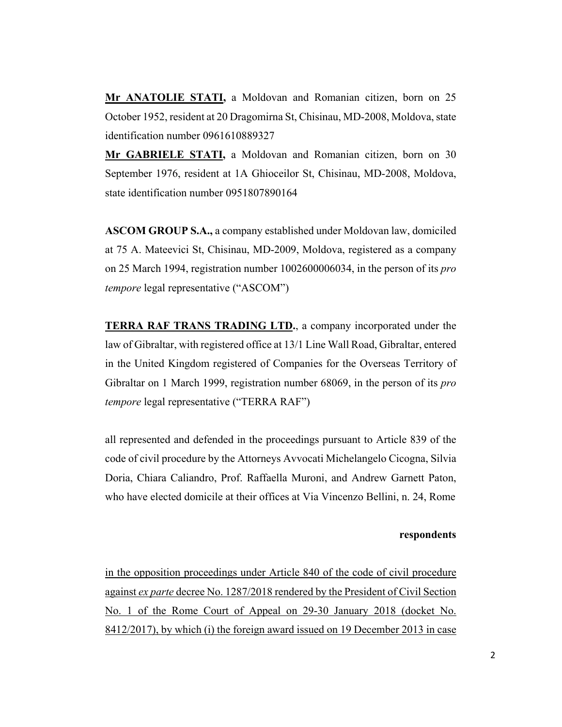**Mr ANATOLIE STATI,** a Moldovan and Romanian citizen, born on 25 October 1952, resident at 20 Dragomirna St, Chisinau, MD-2008, Moldova, state identification number 0961610889327

**Mr GABRIELE STATI,** a Moldovan and Romanian citizen, born on 30 September 1976, resident at 1A Ghioceilor St, Chisinau, MD-2008, Moldova, state identification number 0951807890164

**ASCOM GROUP S.A.,** a company established under Moldovan law, domiciled at 75 A. Mateevici St, Chisinau, MD-2009, Moldova, registered as a company on 25 March 1994, registration number 1002600006034, in the person of its *pro tempore* legal representative ("ASCOM")

**TERRA RAF TRANS TRADING LTD.**, a company incorporated under the law of Gibraltar, with registered office at 13/1 Line Wall Road, Gibraltar, entered in the United Kingdom registered of Companies for the Overseas Territory of Gibraltar on 1 March 1999, registration number 68069, in the person of its *pro tempore* legal representative ("TERRA RAF")

all represented and defended in the proceedings pursuant to Article 839 of the code of civil procedure by the Attorneys Avvocati Michelangelo Cicogna, Silvia Doria, Chiara Caliandro, Prof. Raffaella Muroni, and Andrew Garnett Paton, who have elected domicile at their offices at Via Vincenzo Bellini, n. 24, Rome

### **respondents**

in the opposition proceedings under Article 840 of the code of civil procedure against *ex parte* decree No. 1287/2018 rendered by the President of Civil Section No. 1 of the Rome Court of Appeal on 29-30 January 2018 (docket No. 8412/2017), by which (i) the foreign award issued on 19 December 2013 in case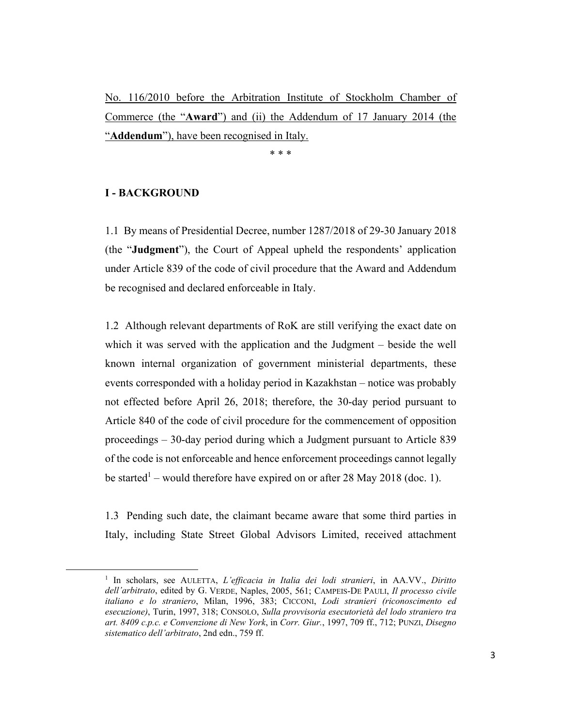No. 116/2010 before the Arbitration Institute of Stockholm Chamber of Commerce (the "**Award**") and (ii) the Addendum of 17 January 2014 (the "**Addendum**"), have been recognised in Italy.

\* \* \*

#### **I - BACKGROUND**

1.1 By means of Presidential Decree, number 1287/2018 of 29-30 January 2018 (the "**Judgment**"), the Court of Appeal upheld the respondents' application under Article 839 of the code of civil procedure that the Award and Addendum be recognised and declared enforceable in Italy.

1.2 Although relevant departments of RoK are still verifying the exact date on which it was served with the application and the Judgment – beside the well known internal organization of government ministerial departments, these events corresponded with a holiday period in Kazakhstan – notice was probably not effected before April 26, 2018; therefore, the 30-day period pursuant to Article 840 of the code of civil procedure for the commencement of opposition proceedings – 30-day period during which a Judgment pursuant to Article 839 of the code is not enforceable and hence enforcement proceedings cannot legally be started<sup>1</sup> – would therefore have expired on or after 28 May 2018 (doc. 1).

1.3 Pending such date, the claimant became aware that some third parties in Italy, including State Street Global Advisors Limited, received attachment

<sup>1</sup> In scholars, see AULETTA, *L'efficacia in Italia dei lodi stranieri*, in AA.VV., *Diritto dell'arbitrato*, edited by G. VERDE, Naples, 2005, 561; CAMPEIS-DE PAULI, *Il processo civile italiano e lo straniero*, Milan, 1996, 383; CICCONI, *Lodi stranieri (riconoscimento ed esecuzione)*, Turin, 1997, 318; CONSOLO, *Sulla provvisoria esecutorietà del lodo straniero tra art. 8409 c.p.c. e Convenzione di New York*, in *Corr. Giur.*, 1997, 709 ff., 712; PUNZI, *Disegno sistematico dell'arbitrato*, 2nd edn., 759 ff.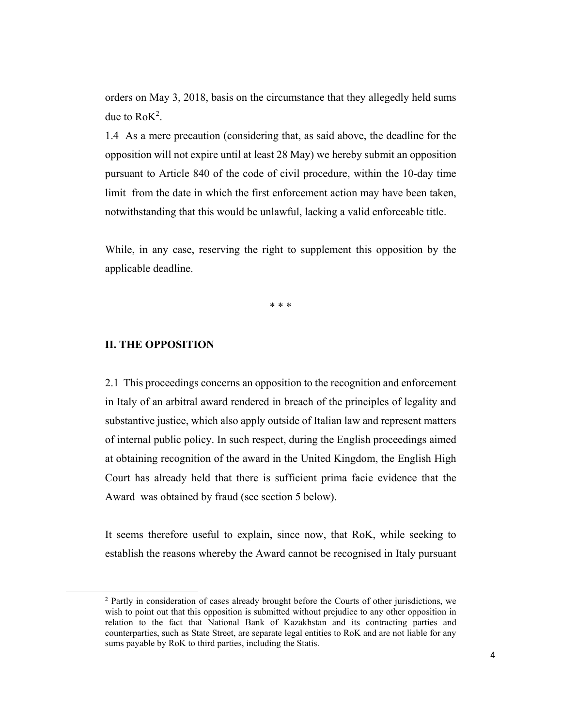orders on May 3, 2018, basis on the circumstance that they allegedly held sums due to  $RoK^2$ .

1.4 As a mere precaution (considering that, as said above, the deadline for the opposition will not expire until at least 28 May) we hereby submit an opposition pursuant to Article 840 of the code of civil procedure, within the 10-day time limit from the date in which the first enforcement action may have been taken, notwithstanding that this would be unlawful, lacking a valid enforceable title.

While, in any case, reserving the right to supplement this opposition by the applicable deadline.

\* \* \*

#### **II. THE OPPOSITION**

2.1 This proceedings concerns an opposition to the recognition and enforcement in Italy of an arbitral award rendered in breach of the principles of legality and substantive justice, which also apply outside of Italian law and represent matters of internal public policy. In such respect, during the English proceedings aimed at obtaining recognition of the award in the United Kingdom, the English High Court has already held that there is sufficient prima facie evidence that the Award was obtained by fraud (see section 5 below).

It seems therefore useful to explain, since now, that RoK, while seeking to establish the reasons whereby the Award cannot be recognised in Italy pursuant

<sup>&</sup>lt;sup>2</sup> Partly in consideration of cases already brought before the Courts of other jurisdictions, we wish to point out that this opposition is submitted without prejudice to any other opposition in relation to the fact that National Bank of Kazakhstan and its contracting parties and counterparties, such as State Street, are separate legal entities to RoK and are not liable for any sums payable by RoK to third parties, including the Statis.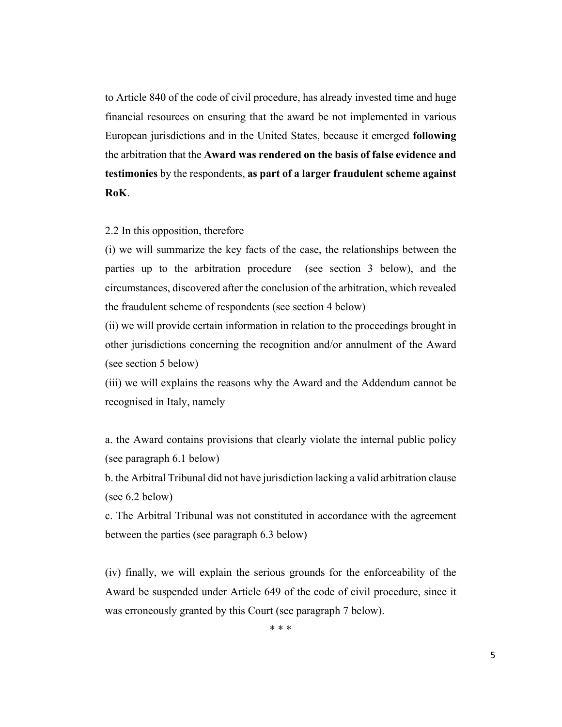to Article 840 of the code of civil procedure, has already invested time and huge financial resources on ensuring that the award be not implemented in various European jurisdictions and in the United States, because it emerged **following** the arbitration that the **Award was rendered on the basis of false evidence and testimonies** by the respondents, **as part of a larger fraudulent scheme against RoK**.

#### 2.2 In this opposition, therefore

(i) we will summarize the key facts of the case, the relationships between the parties up to the arbitration procedure (see section 3 below), and the circumstances, discovered after the conclusion of the arbitration, which revealed the fraudulent scheme of respondents (see section 4 below)

(ii) we will provide certain information in relation to the proceedings brought in other jurisdictions concerning the recognition and/or annulment of the Award (see section 5 below)

(iii) we will explains the reasons why the Award and the Addendum cannot be recognised in Italy, namely

a. the Award contains provisions that clearly violate the internal public policy (see paragraph 6.1 below)

b. the Arbitral Tribunal did not have jurisdiction lacking a valid arbitration clause (see 6.2 below)

c. The Arbitral Tribunal was not constituted in accordance with the agreement between the parties (see paragraph 6.3 below)

(iv) finally, we will explain the serious grounds for the enforceability of the Award be suspended under Article 649 of the code of civil procedure, since it was erroneously granted by this Court (see paragraph 7 below).

\* \* \*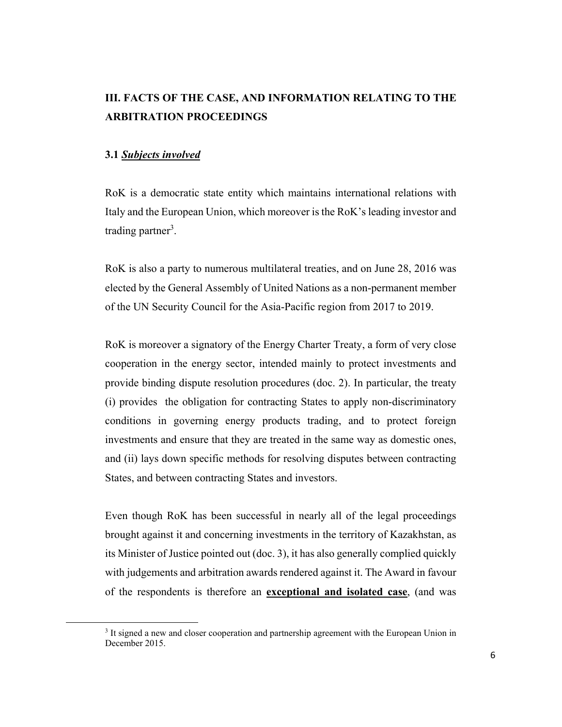# **III. FACTS OF THE CASE, AND INFORMATION RELATING TO THE ARBITRATION PROCEEDINGS**

#### **3.1** *Subjects involved*

RoK is a democratic state entity which maintains international relations with Italy and the European Union, which moreover is the RoK's leading investor and trading partner<sup>3</sup>.

RoK is also a party to numerous multilateral treaties, and on June 28, 2016 was elected by the General Assembly of United Nations as a non-permanent member of the UN Security Council for the Asia-Pacific region from 2017 to 2019.

RoK is moreover a signatory of the Energy Charter Treaty, a form of very close cooperation in the energy sector, intended mainly to protect investments and provide binding dispute resolution procedures (doc. 2). In particular, the treaty (i) provides the obligation for contracting States to apply non-discriminatory conditions in governing energy products trading, and to protect foreign investments and ensure that they are treated in the same way as domestic ones, and (ii) lays down specific methods for resolving disputes between contracting States, and between contracting States and investors.

Even though RoK has been successful in nearly all of the legal proceedings brought against it and concerning investments in the territory of Kazakhstan, as its Minister of Justice pointed out (doc. 3), it has also generally complied quickly with judgements and arbitration awards rendered against it. The Award in favour of the respondents is therefore an **exceptional and isolated case**, (and was

<sup>&</sup>lt;sup>3</sup> It signed a new and closer cooperation and partnership agreement with the European Union in December 2015.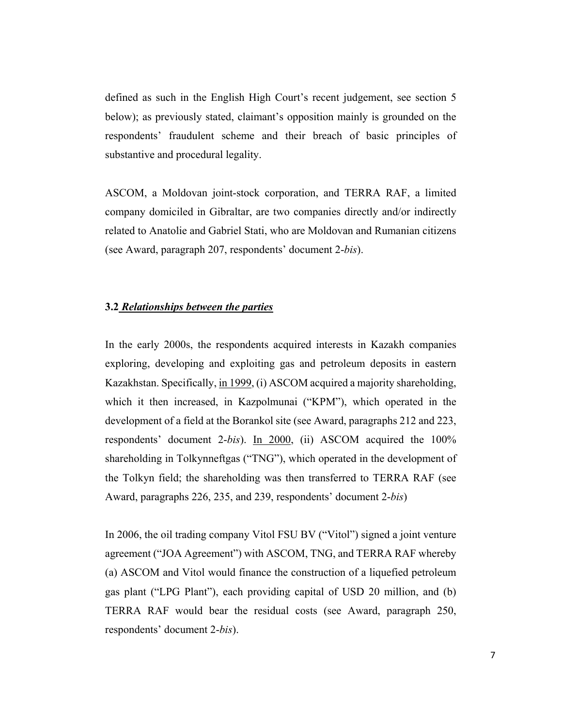defined as such in the English High Court's recent judgement, see section 5 below); as previously stated, claimant's opposition mainly is grounded on the respondents' fraudulent scheme and their breach of basic principles of substantive and procedural legality.

ASCOM, a Moldovan joint-stock corporation, and TERRA RAF, a limited company domiciled in Gibraltar, are two companies directly and/or indirectly related to Anatolie and Gabriel Stati, who are Moldovan and Rumanian citizens (see Award, paragraph 207, respondents' document 2-*bis*).

### **3.2** *Relationships between the parties*

In the early 2000s, the respondents acquired interests in Kazakh companies exploring, developing and exploiting gas and petroleum deposits in eastern Kazakhstan. Specifically, in 1999, (i) ASCOM acquired a majority shareholding, which it then increased, in Kazpolmunai ("KPM"), which operated in the development of a field at the Borankol site (see Award, paragraphs 212 and 223, respondents' document 2-*bis*). In 2000, (ii) ASCOM acquired the 100% shareholding in Tolkynneftgas ("TNG"), which operated in the development of the Tolkyn field; the shareholding was then transferred to TERRA RAF (see Award, paragraphs 226, 235, and 239, respondents' document 2-*bis*)

In 2006, the oil trading company Vitol FSU BV ("Vitol") signed a joint venture agreement ("JOA Agreement") with ASCOM, TNG, and TERRA RAF whereby (a) ASCOM and Vitol would finance the construction of a liquefied petroleum gas plant ("LPG Plant"), each providing capital of USD 20 million, and (b) TERRA RAF would bear the residual costs (see Award, paragraph 250, respondents' document 2-*bis*).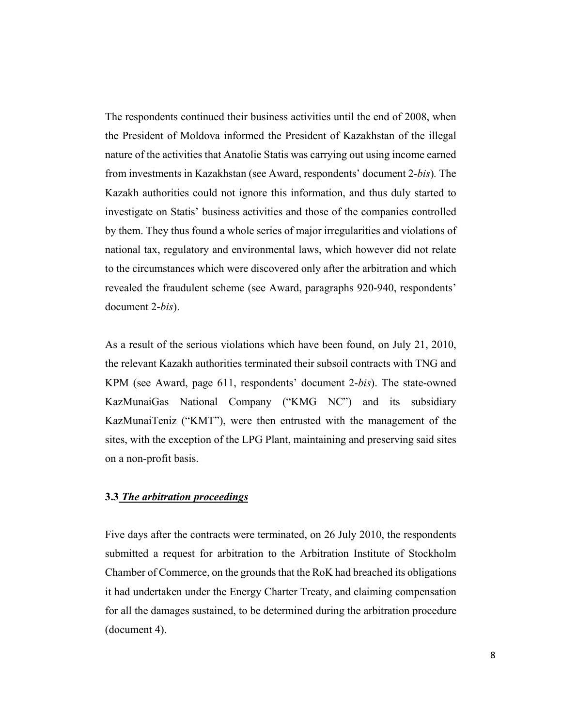The respondents continued their business activities until the end of 2008, when the President of Moldova informed the President of Kazakhstan of the illegal nature of the activities that Anatolie Statis was carrying out using income earned from investments in Kazakhstan (see Award, respondents' document 2-*bis*)*.* The Kazakh authorities could not ignore this information, and thus duly started to investigate on Statis' business activities and those of the companies controlled by them. They thus found a whole series of major irregularities and violations of national tax, regulatory and environmental laws, which however did not relate to the circumstances which were discovered only after the arbitration and which revealed the fraudulent scheme (see Award, paragraphs 920-940, respondents' document 2-*bis*).

As a result of the serious violations which have been found, on July 21, 2010, the relevant Kazakh authorities terminated their subsoil contracts with TNG and KPM (see Award, page 611, respondents' document 2-*bis*). The state-owned KazMunaiGas National Company ("KMG NC") and its subsidiary KazMunaiTeniz ("KMT"), were then entrusted with the management of the sites, with the exception of the LPG Plant, maintaining and preserving said sites on a non-profit basis.

# **3.3** *The arbitration proceedings*

Five days after the contracts were terminated, on 26 July 2010, the respondents submitted a request for arbitration to the Arbitration Institute of Stockholm Chamber of Commerce, on the grounds that the RoK had breached its obligations it had undertaken under the Energy Charter Treaty, and claiming compensation for all the damages sustained, to be determined during the arbitration procedure (document 4).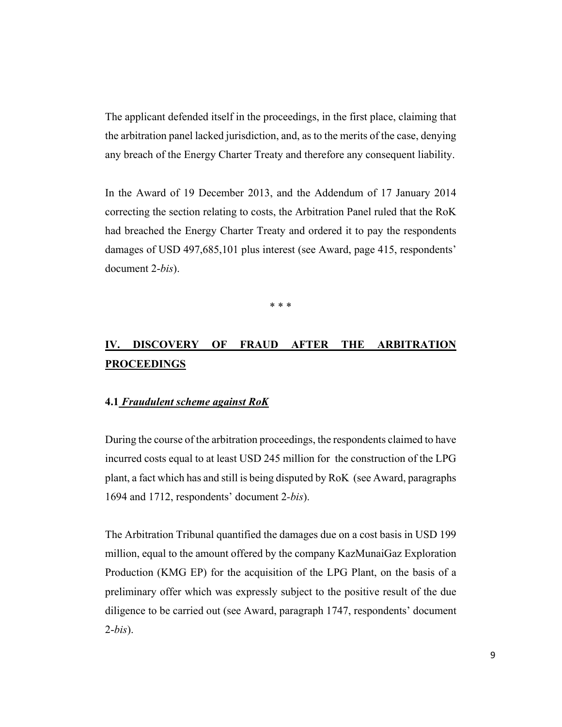The applicant defended itself in the proceedings, in the first place, claiming that the arbitration panel lacked jurisdiction, and, as to the merits of the case, denying any breach of the Energy Charter Treaty and therefore any consequent liability.

In the Award of 19 December 2013, and the Addendum of 17 January 2014 correcting the section relating to costs, the Arbitration Panel ruled that the RoK had breached the Energy Charter Treaty and ordered it to pay the respondents damages of USD 497,685,101 plus interest (see Award, page 415, respondents' document 2-*bis*).

\* \* \*

# **IV. DISCOVERY OF FRAUD AFTER THE ARBITRATION PROCEEDINGS**

#### **4.1** *Fraudulent scheme against RoK*

During the course of the arbitration proceedings, the respondents claimed to have incurred costs equal to at least USD 245 million for the construction of the LPG plant, a fact which has and still is being disputed by RoK (see Award, paragraphs 1694 and 1712, respondents' document 2*-bis*).

The Arbitration Tribunal quantified the damages due on a cost basis in USD 199 million, equal to the amount offered by the company KazMunaiGaz Exploration Production (KMG EP) for the acquisition of the LPG Plant, on the basis of a preliminary offer which was expressly subject to the positive result of the due diligence to be carried out (see Award, paragraph 1747, respondents' document 2-*bis*).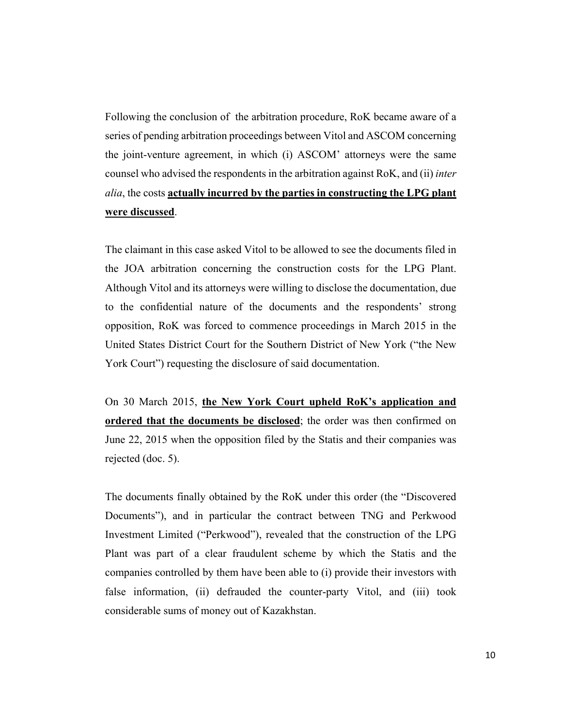Following the conclusion of the arbitration procedure, RoK became aware of a series of pending arbitration proceedings between Vitol and ASCOM concerning the joint-venture agreement, in which (i) ASCOM' attorneys were the same counsel who advised the respondents in the arbitration against RoK, and (ii) *inter alia*, the costs **actually incurred by the parties in constructing the LPG plant were discussed**.

The claimant in this case asked Vitol to be allowed to see the documents filed in the JOA arbitration concerning the construction costs for the LPG Plant. Although Vitol and its attorneys were willing to disclose the documentation, due to the confidential nature of the documents and the respondents' strong opposition, RoK was forced to commence proceedings in March 2015 in the United States District Court for the Southern District of New York ("the New York Court") requesting the disclosure of said documentation.

On 30 March 2015, **the New York Court upheld RoK's application and ordered that the documents be disclosed**; the order was then confirmed on June 22, 2015 when the opposition filed by the Statis and their companies was rejected (doc. 5).

The documents finally obtained by the RoK under this order (the "Discovered Documents"), and in particular the contract between TNG and Perkwood Investment Limited ("Perkwood"), revealed that the construction of the LPG Plant was part of a clear fraudulent scheme by which the Statis and the companies controlled by them have been able to (i) provide their investors with false information, (ii) defrauded the counter-party Vitol, and (iii) took considerable sums of money out of Kazakhstan.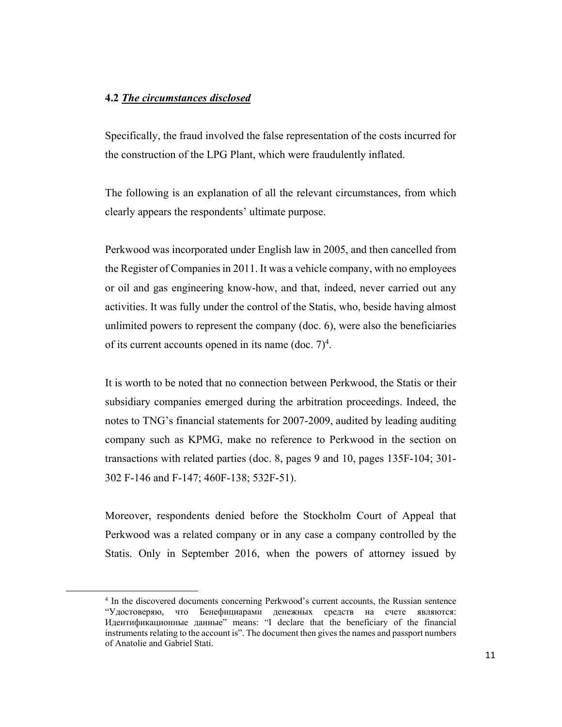### **4.2** *The circumstances disclosed*

Specifically, the fraud involved the false representation of the costs incurred for the construction of the LPG Plant, which were fraudulently inflated.

The following is an explanation of all the relevant circumstances, from which clearly appears the respondents' ultimate purpose.

Perkwood was incorporated under English law in 2005, and then cancelled from the Register of Companies in 2011. It was a vehicle company, with no employees or oil and gas engineering know-how, and that, indeed, never carried out any activities. It was fully under the control of the Statis, who, beside having almost unlimited powers to represent the company (doc. 6), were also the beneficiaries of its current accounts opened in its name (doc.  $7)^4$ .

It is worth to be noted that no connection between Perkwood, the Statis or their subsidiary companies emerged during the arbitration proceedings. Indeed, the notes to TNG's financial statements for 2007-2009, audited by leading auditing company such as KPMG, make no reference to Perkwood in the section on transactions with related parties (doc. 8, pages 9 and 10, pages 135F-104; 301- 302 F-146 and F-147; 460F-138; 532F-51).

Moreover, respondents denied before the Stockholm Court of Appeal that Perkwood was a related company or in any case a company controlled by the Statis. Only in September 2016, when the powers of attorney issued by

<sup>4</sup> In the discovered documents concerning Perkwood's current accounts, the Russian sentence "Удостоверяю, что Бенефициарами денежных средств на счете являются: Идентификационные данные" means: "I declare that the beneficiary of the financial instruments relating to the account is". The document then gives the names and passport numbers of Anatolie and Gabriel Stati.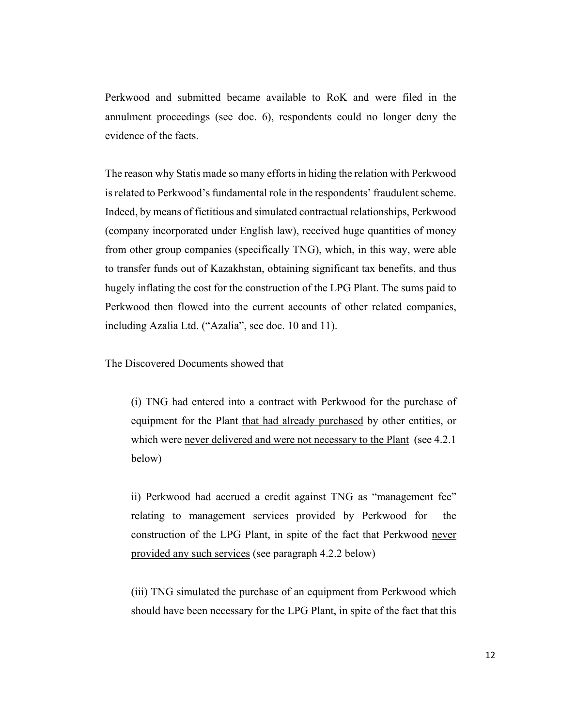Perkwood and submitted became available to RoK and were filed in the annulment proceedings (see doc. 6), respondents could no longer deny the evidence of the facts.

The reason why Statis made so many efforts in hiding the relation with Perkwood is related to Perkwood's fundamental role in the respondents' fraudulent scheme. Indeed, by means of fictitious and simulated contractual relationships, Perkwood (company incorporated under English law), received huge quantities of money from other group companies (specifically TNG), which, in this way, were able to transfer funds out of Kazakhstan, obtaining significant tax benefits, and thus hugely inflating the cost for the construction of the LPG Plant. The sums paid to Perkwood then flowed into the current accounts of other related companies, including Azalia Ltd. ("Azalia", see doc. 10 and 11).

The Discovered Documents showed that

(i) TNG had entered into a contract with Perkwood for the purchase of equipment for the Plant that had already purchased by other entities, or which were never delivered and were not necessary to the Plant (see 4.2.1) below)

ii) Perkwood had accrued a credit against TNG as "management fee" relating to management services provided by Perkwood for the construction of the LPG Plant, in spite of the fact that Perkwood never provided any such services (see paragraph 4.2.2 below)

(iii) TNG simulated the purchase of an equipment from Perkwood which should have been necessary for the LPG Plant, in spite of the fact that this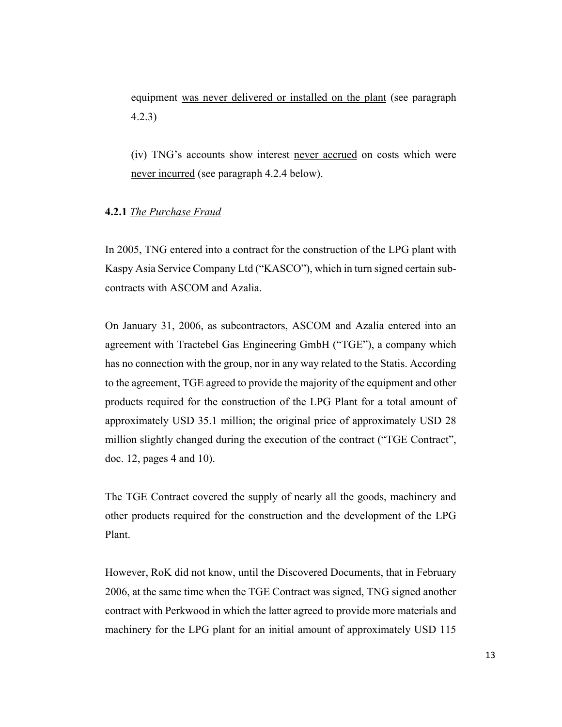equipment was never delivered or installed on the plant (see paragraph 4.2.3)

(iv) TNG's accounts show interest never accrued on costs which were never incurred (see paragraph 4.2.4 below).

## **4.2.1** *The Purchase Fraud*

In 2005, TNG entered into a contract for the construction of the LPG plant with Kaspy Asia Service Company Ltd ("KASCO"), which in turn signed certain subcontracts with ASCOM and Azalia.

On January 31, 2006, as subcontractors, ASCOM and Azalia entered into an agreement with Tractebel Gas Engineering GmbH ("TGE"), a company which has no connection with the group, nor in any way related to the Statis. According to the agreement, TGE agreed to provide the majority of the equipment and other products required for the construction of the LPG Plant for a total amount of approximately USD 35.1 million; the original price of approximately USD 28 million slightly changed during the execution of the contract ("TGE Contract", doc. 12, pages 4 and 10).

The TGE Contract covered the supply of nearly all the goods, machinery and other products required for the construction and the development of the LPG Plant.

However, RoK did not know, until the Discovered Documents, that in February 2006, at the same time when the TGE Contract was signed, TNG signed another contract with Perkwood in which the latter agreed to provide more materials and machinery for the LPG plant for an initial amount of approximately USD 115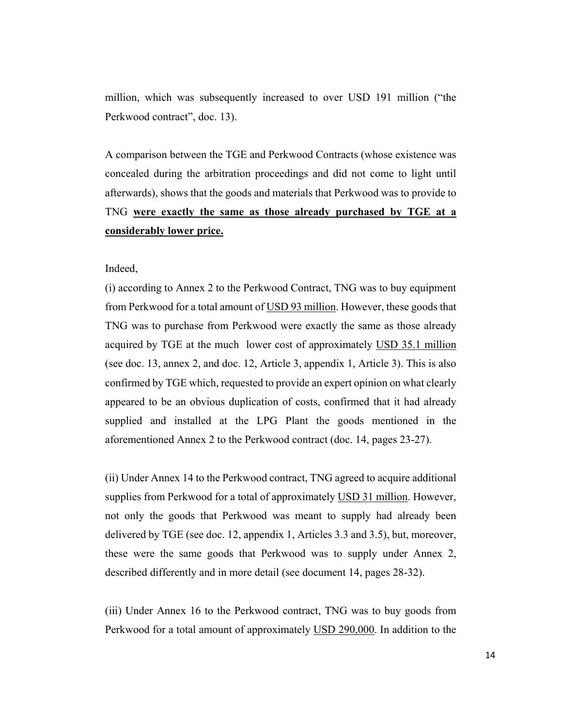million, which was subsequently increased to over USD 191 million ("the Perkwood contract", doc. 13).

A comparison between the TGE and Perkwood Contracts (whose existence was concealed during the arbitration proceedings and did not come to light until afterwards), shows that the goods and materials that Perkwood was to provide to TNG **were exactly the same as those already purchased by TGE at a considerably lower price.** 

Indeed,

(i) according to Annex 2 to the Perkwood Contract, TNG was to buy equipment from Perkwood for a total amount of USD 93 million. However, these goods that TNG was to purchase from Perkwood were exactly the same as those already acquired by TGE at the much lower cost of approximately USD 35.1 million (see doc. 13, annex 2, and doc. 12, Article 3, appendix 1, Article 3). This is also confirmed by TGE which, requested to provide an expert opinion on what clearly appeared to be an obvious duplication of costs, confirmed that it had already supplied and installed at the LPG Plant the goods mentioned in the aforementioned Annex 2 to the Perkwood contract (doc. 14, pages 23-27).

(ii) Under Annex 14 to the Perkwood contract, TNG agreed to acquire additional supplies from Perkwood for a total of approximately USD 31 million. However, not only the goods that Perkwood was meant to supply had already been delivered by TGE (see doc. 12, appendix 1, Articles 3.3 and 3.5), but, moreover, these were the same goods that Perkwood was to supply under Annex 2, described differently and in more detail (see document 14, pages 28-32).

(iii) Under Annex 16 to the Perkwood contract, TNG was to buy goods from Perkwood for a total amount of approximately USD 290,000. In addition to the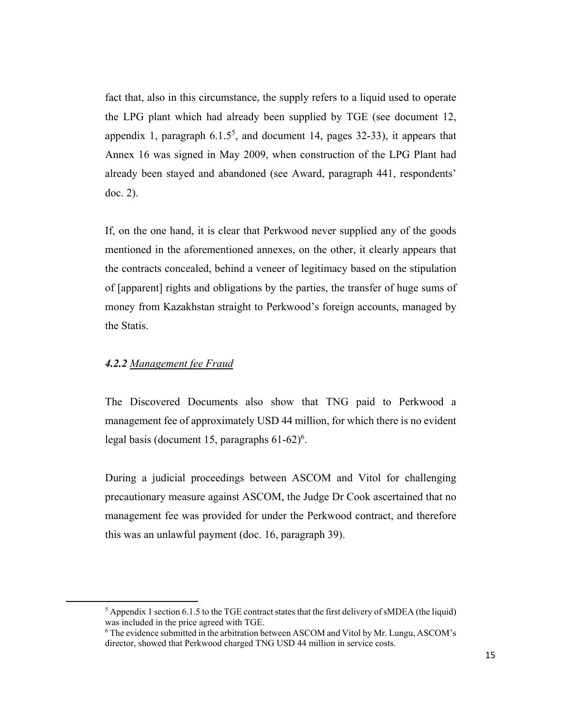fact that, also in this circumstance, the supply refers to a liquid used to operate the LPG plant which had already been supplied by TGE (see document 12, appendix 1, paragraph  $6.1.5<sup>5</sup>$ , and document 14, pages 32-33), it appears that Annex 16 was signed in May 2009, when construction of the LPG Plant had already been stayed and abandoned (see Award, paragraph 441, respondents' doc. 2).

If, on the one hand, it is clear that Perkwood never supplied any of the goods mentioned in the aforementioned annexes, on the other, it clearly appears that the contracts concealed, behind a veneer of legitimacy based on the stipulation of [apparent] rights and obligations by the parties, the transfer of huge sums of money from Kazakhstan straight to Perkwood's foreign accounts, managed by the Statis.

### *4.2.2 Management fee Fraud*

The Discovered Documents also show that TNG paid to Perkwood a management fee of approximately USD 44 million, for which there is no evident legal basis (document 15, paragraphs  $61-62$ <sup>6</sup>.

During a judicial proceedings between ASCOM and Vitol for challenging precautionary measure against ASCOM, the Judge Dr Cook ascertained that no management fee was provided for under the Perkwood contract, and therefore this was an unlawful payment (doc. 16, paragraph 39).

 $<sup>5</sup>$  Appendix 1 section 6.1.5 to the TGE contract states that the first delivery of sMDEA (the liquid)</sup> was included in the price agreed with TGE.

The evidence submitted in the arbitration between ASCOM and Vitol by Mr. Lungu, ASCOM's director, showed that Perkwood charged TNG USD 44 million in service costs.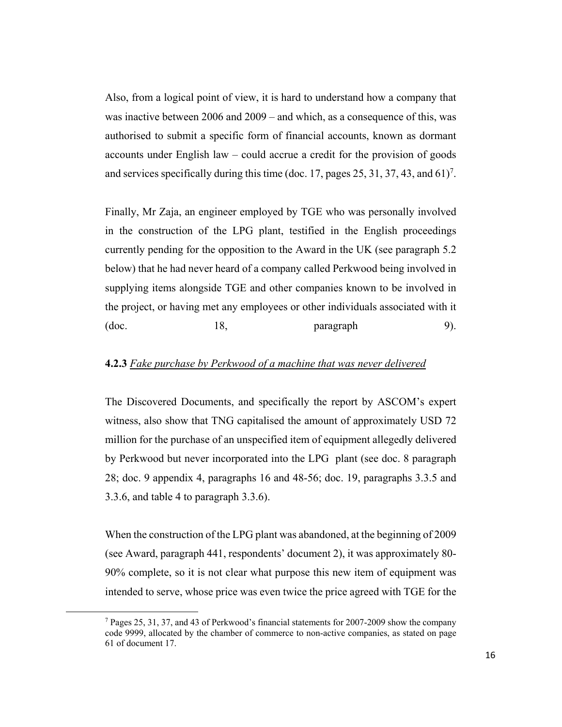Also, from a logical point of view, it is hard to understand how a company that was inactive between 2006 and 2009 – and which, as a consequence of this, was authorised to submit a specific form of financial accounts, known as dormant accounts under English law – could accrue a credit for the provision of goods and services specifically during this time (doc. 17, pages 25, 31, 37, 43, and 61)<sup>7</sup>.

Finally, Mr Zaja, an engineer employed by TGE who was personally involved in the construction of the LPG plant, testified in the English proceedings currently pending for the opposition to the Award in the UK (see paragraph 5.2 below) that he had never heard of a company called Perkwood being involved in supplying items alongside TGE and other companies known to be involved in the project, or having met any employees or other individuals associated with it  $18$ , paragraph 9).

# **4.2.3** *Fake purchase by Perkwood of a machine that was never delivered*

The Discovered Documents, and specifically the report by ASCOM's expert witness, also show that TNG capitalised the amount of approximately USD 72 million for the purchase of an unspecified item of equipment allegedly delivered by Perkwood but never incorporated into the LPG plant (see doc. 8 paragraph 28; doc. 9 appendix 4, paragraphs 16 and 48-56; doc. 19, paragraphs 3.3.5 and 3.3.6, and table 4 to paragraph 3.3.6).

When the construction of the LPG plant was abandoned, at the beginning of 2009 (see Award, paragraph 441, respondents' document 2), it was approximately 80- 90% complete, so it is not clear what purpose this new item of equipment was intended to serve, whose price was even twice the price agreed with TGE for the

<sup>&</sup>lt;sup>7</sup> Pages 25, 31, 37, and 43 of Perkwood's financial statements for 2007-2009 show the company code 9999, allocated by the chamber of commerce to non-active companies, as stated on page 61 of document 17.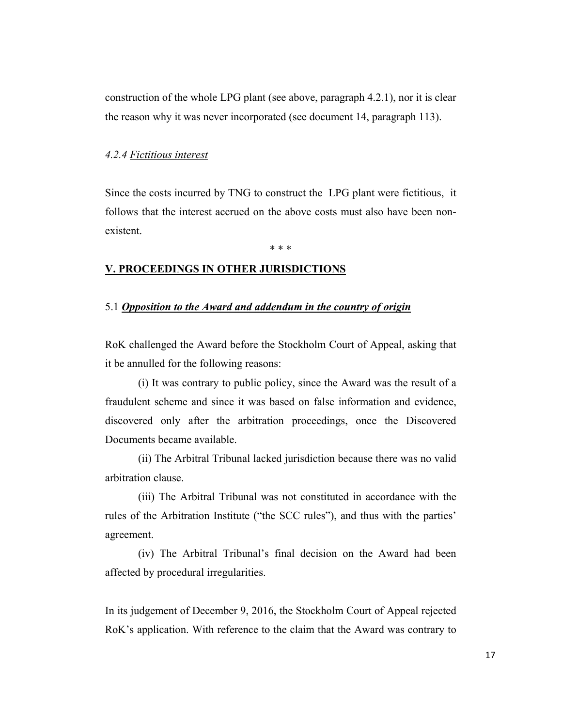construction of the whole LPG plant (see above, paragraph 4.2.1), nor it is clear the reason why it was never incorporated (see document 14, paragraph 113).

#### *4.2.4 Fictitious interest*

Since the costs incurred by TNG to construct the LPG plant were fictitious, it follows that the interest accrued on the above costs must also have been nonexistent.

\* \* \*

### **V. PROCEEDINGS IN OTHER JURISDICTIONS**

#### 5.1 *Opposition to the Award and addendum in the country of origin*

RoK challenged the Award before the Stockholm Court of Appeal, asking that it be annulled for the following reasons:

(i) It was contrary to public policy, since the Award was the result of a fraudulent scheme and since it was based on false information and evidence, discovered only after the arbitration proceedings, once the Discovered Documents became available.

(ii) The Arbitral Tribunal lacked jurisdiction because there was no valid arbitration clause.

(iii) The Arbitral Tribunal was not constituted in accordance with the rules of the Arbitration Institute ("the SCC rules"), and thus with the parties' agreement.

(iv) The Arbitral Tribunal's final decision on the Award had been affected by procedural irregularities.

In its judgement of December 9, 2016, the Stockholm Court of Appeal rejected RoK's application. With reference to the claim that the Award was contrary to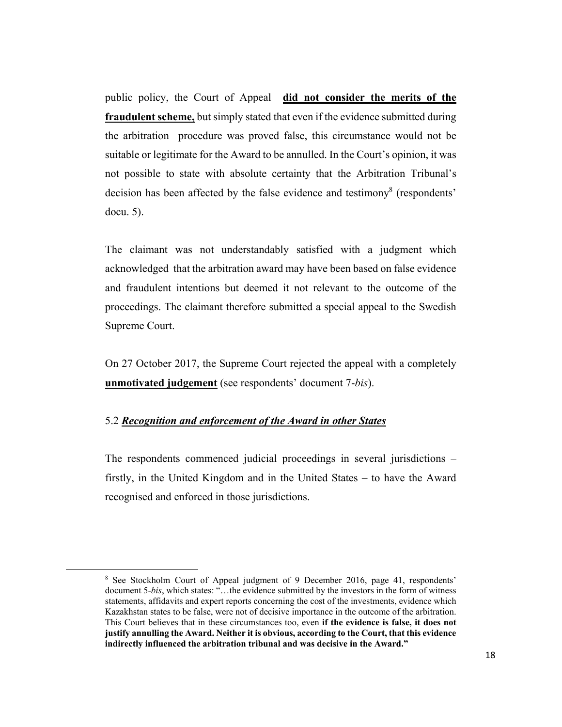public policy, the Court of Appeal **did not consider the merits of the fraudulent scheme,** but simply stated that even if the evidence submitted during the arbitration procedure was proved false, this circumstance would not be suitable or legitimate for the Award to be annulled. In the Court's opinion, it was not possible to state with absolute certainty that the Arbitration Tribunal's decision has been affected by the false evidence and testimony<sup>8</sup> (respondents' docu. 5).

The claimant was not understandably satisfied with a judgment which acknowledged that the arbitration award may have been based on false evidence and fraudulent intentions but deemed it not relevant to the outcome of the proceedings. The claimant therefore submitted a special appeal to the Swedish Supreme Court.

On 27 October 2017, the Supreme Court rejected the appeal with a completely **unmotivated judgement** (see respondents' document 7-*bis*).

### 5.2 *Recognition and enforcement of the Award in other States*

The respondents commenced judicial proceedings in several jurisdictions – firstly, in the United Kingdom and in the United States – to have the Award recognised and enforced in those jurisdictions.

<sup>&</sup>lt;sup>8</sup> See Stockholm Court of Appeal judgment of 9 December 2016, page 41, respondents' document 5-*bis*, which states: "…the evidence submitted by the investors in the form of witness statements, affidavits and expert reports concerning the cost of the investments, evidence which Kazakhstan states to be false, were not of decisive importance in the outcome of the arbitration. This Court believes that in these circumstances too, even **if the evidence is false, it does not justify annulling the Award. Neither it is obvious, according to the Court, that this evidence indirectly influenced the arbitration tribunal and was decisive in the Award."**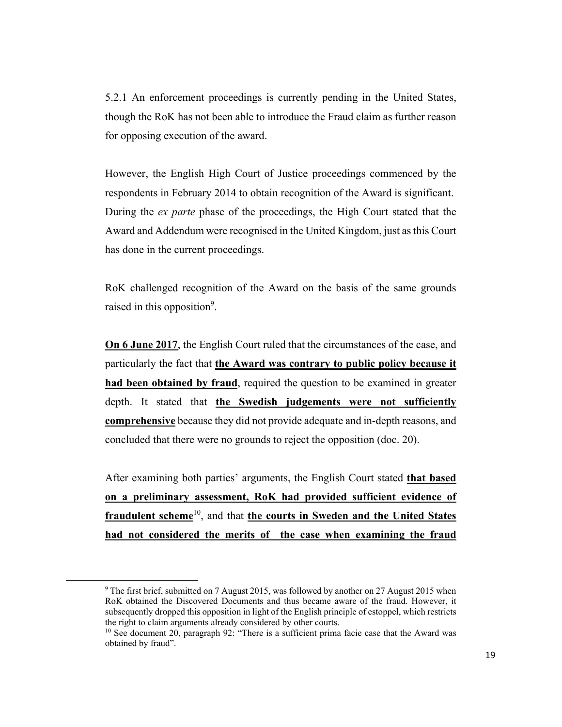5.2.1 An enforcement proceedings is currently pending in the United States, though the RoK has not been able to introduce the Fraud claim as further reason for opposing execution of the award.

However, the English High Court of Justice proceedings commenced by the respondents in February 2014 to obtain recognition of the Award is significant. During the *ex parte* phase of the proceedings, the High Court stated that the Award and Addendum were recognised in the United Kingdom, just as this Court has done in the current proceedings.

RoK challenged recognition of the Award on the basis of the same grounds raised in this opposition<sup>9</sup>.

**On 6 June 2017**, the English Court ruled that the circumstances of the case, and particularly the fact that **the Award was contrary to public policy because it had been obtained by fraud**, required the question to be examined in greater depth. It stated that **the Swedish judgements were not sufficiently comprehensive** because they did not provide adequate and in-depth reasons, and concluded that there were no grounds to reject the opposition (doc. 20).

After examining both parties' arguments, the English Court stated **that based on a preliminary assessment, RoK had provided sufficient evidence of fraudulent scheme**10, and that **the courts in Sweden and the United States had not considered the merits of the case when examining the fraud** 

<sup>&</sup>lt;sup>9</sup> The first brief, submitted on 7 August 2015, was followed by another on 27 August 2015 when RoK obtained the Discovered Documents and thus became aware of the fraud. However, it subsequently dropped this opposition in light of the English principle of estoppel, which restricts the right to claim arguments already considered by other courts.

 $10$  See document 20, paragraph 92: "There is a sufficient prima facie case that the Award was obtained by fraud".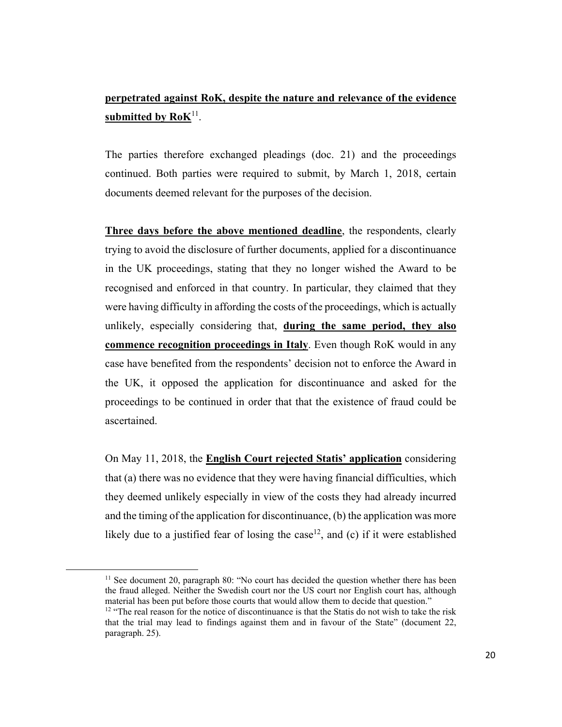# **perpetrated against RoK, despite the nature and relevance of the evidence**  submitted by RoK<sup>11</sup>.

The parties therefore exchanged pleadings (doc. 21) and the proceedings continued. Both parties were required to submit, by March 1, 2018, certain documents deemed relevant for the purposes of the decision.

**Three days before the above mentioned deadline**, the respondents, clearly trying to avoid the disclosure of further documents, applied for a discontinuance in the UK proceedings, stating that they no longer wished the Award to be recognised and enforced in that country. In particular, they claimed that they were having difficulty in affording the costs of the proceedings, which is actually unlikely, especially considering that, **during the same period, they also commence recognition proceedings in Italy**. Even though RoK would in any case have benefited from the respondents' decision not to enforce the Award in the UK, it opposed the application for discontinuance and asked for the proceedings to be continued in order that that the existence of fraud could be ascertained.

On May 11, 2018, the **English Court rejected Statis' application** considering that (a) there was no evidence that they were having financial difficulties, which they deemed unlikely especially in view of the costs they had already incurred and the timing of the application for discontinuance, (b) the application was more likely due to a justified fear of losing the case<sup>12</sup>, and (c) if it were established

 $11$  See document 20, paragraph 80: "No court has decided the question whether there has been the fraud alleged. Neither the Swedish court nor the US court nor English court has, although material has been put before those courts that would allow them to decide that question."

 $12$  "The real reason for the notice of discontinuance is that the Statis do not wish to take the risk that the trial may lead to findings against them and in favour of the State" (document 22, paragraph. 25).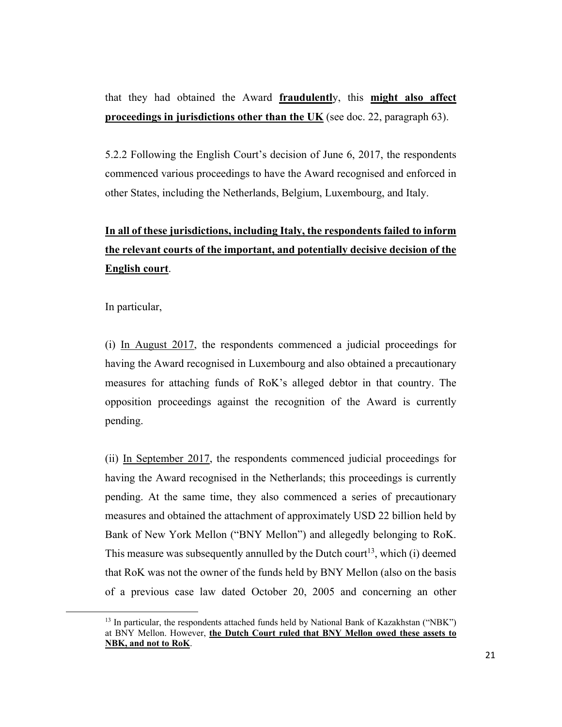that they had obtained the Award **fraudulentl**y, this **might also affect proceedings in jurisdictions other than the UK** (see doc. 22, paragraph 63).

5.2.2 Following the English Court's decision of June 6, 2017, the respondents commenced various proceedings to have the Award recognised and enforced in other States, including the Netherlands, Belgium, Luxembourg, and Italy.

# **In all of these jurisdictions, including Italy, the respondents failed to inform the relevant courts of the important, and potentially decisive decision of the English court**.

In particular,

(i) In August 2017, the respondents commenced a judicial proceedings for having the Award recognised in Luxembourg and also obtained a precautionary measures for attaching funds of RoK's alleged debtor in that country. The opposition proceedings against the recognition of the Award is currently pending.

(ii) In September 2017, the respondents commenced judicial proceedings for having the Award recognised in the Netherlands; this proceedings is currently pending. At the same time, they also commenced a series of precautionary measures and obtained the attachment of approximately USD 22 billion held by Bank of New York Mellon ("BNY Mellon") and allegedly belonging to RoK. This measure was subsequently annulled by the Dutch court<sup>13</sup>, which (i) deemed that RoK was not the owner of the funds held by BNY Mellon (also on the basis of a previous case law dated October 20, 2005 and concerning an other

<sup>&</sup>lt;sup>13</sup> In particular, the respondents attached funds held by National Bank of Kazakhstan ("NBK") at BNY Mellon. However, **the Dutch Court ruled that BNY Mellon owed these assets to NBK, and not to RoK**.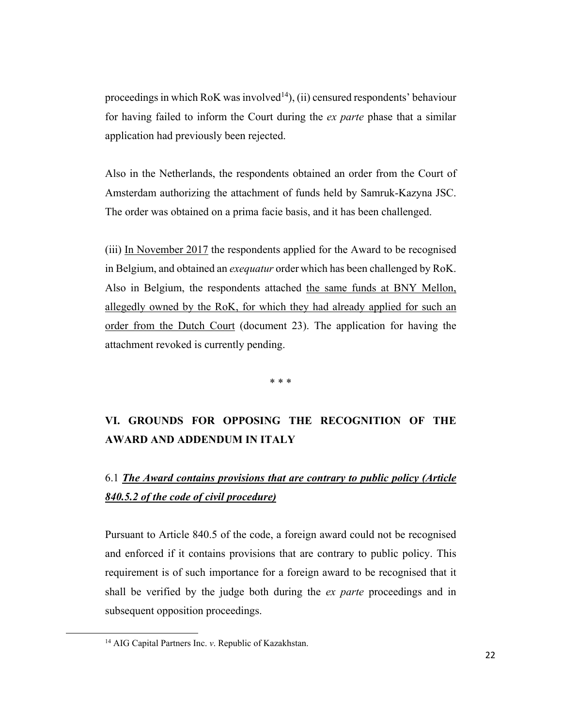proceedings in which RoK was involved<sup>14</sup>), (ii) censured respondents' behaviour for having failed to inform the Court during the *ex parte* phase that a similar application had previously been rejected.

Also in the Netherlands, the respondents obtained an order from the Court of Amsterdam authorizing the attachment of funds held by Samruk-Kazyna JSC. The order was obtained on a prima facie basis, and it has been challenged.

(iii) In November 2017 the respondents applied for the Award to be recognised in Belgium, and obtained an *exequatur* order which has been challenged by RoK. Also in Belgium, the respondents attached the same funds at BNY Mellon, allegedly owned by the RoK, for which they had already applied for such an order from the Dutch Court (document 23). The application for having the attachment revoked is currently pending.

\* \* \*

# **VI. GROUNDS FOR OPPOSING THE RECOGNITION OF THE AWARD AND ADDENDUM IN ITALY**

# 6.1 *The Award contains provisions that are contrary to public policy (Article 840.5.2 of the code of civil procedure)*

Pursuant to Article 840.5 of the code, a foreign award could not be recognised and enforced if it contains provisions that are contrary to public policy. This requirement is of such importance for a foreign award to be recognised that it shall be verified by the judge both during the *ex parte* proceedings and in subsequent opposition proceedings.

<sup>14</sup> AIG Capital Partners Inc. *v*. Republic of Kazakhstan.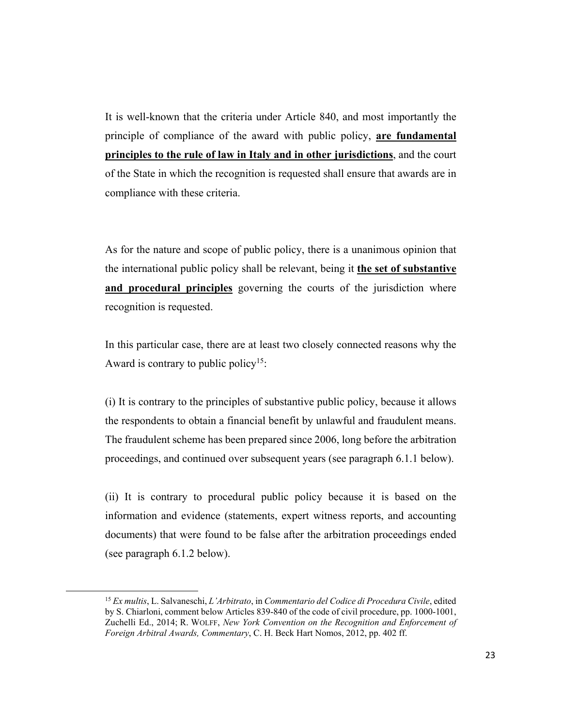It is well-known that the criteria under Article 840, and most importantly the principle of compliance of the award with public policy, **are fundamental principles to the rule of law in Italy and in other jurisdictions**, and the court of the State in which the recognition is requested shall ensure that awards are in compliance with these criteria.

As for the nature and scope of public policy, there is a unanimous opinion that the international public policy shall be relevant, being it **the set of substantive and procedural principles** governing the courts of the jurisdiction where recognition is requested.

In this particular case, there are at least two closely connected reasons why the Award is contrary to public policy<sup>15</sup>:

(i) It is contrary to the principles of substantive public policy, because it allows the respondents to obtain a financial benefit by unlawful and fraudulent means. The fraudulent scheme has been prepared since 2006, long before the arbitration proceedings, and continued over subsequent years (see paragraph 6.1.1 below).

(ii) It is contrary to procedural public policy because it is based on the information and evidence (statements, expert witness reports, and accounting documents) that were found to be false after the arbitration proceedings ended (see paragraph 6.1.2 below).

<sup>15</sup> *Ex multis*, L. Salvaneschi, *L'Arbitrato*, in *Commentario del Codice di Procedura Civile*, edited by S. Chiarloni, comment below Articles 839-840 of the code of civil procedure, pp. 1000-1001, Zuchelli Ed., 2014; R. WOLFF, *New York Convention on the Recognition and Enforcement of Foreign Arbitral Awards, Commentary*, C. H. Beck Hart Nomos, 2012, pp. 402 ff.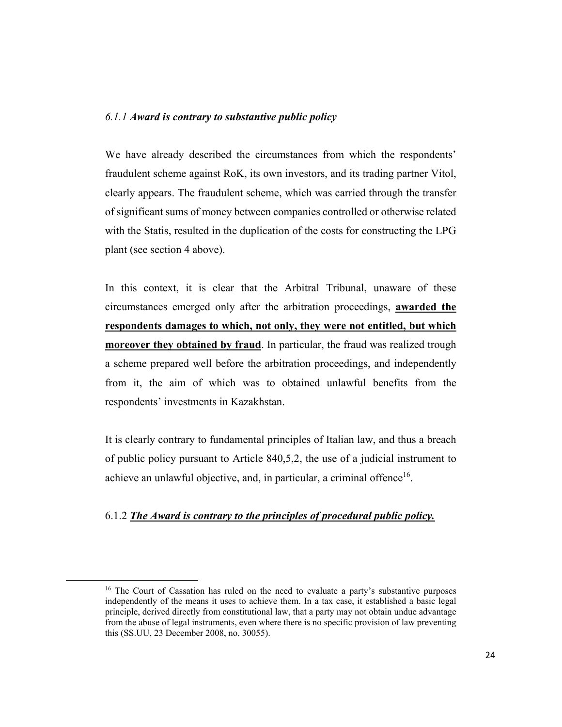### *6.1.1 Award is contrary to substantive public policy*

We have already described the circumstances from which the respondents' fraudulent scheme against RoK, its own investors, and its trading partner Vitol, clearly appears. The fraudulent scheme, which was carried through the transfer of significant sums of money between companies controlled or otherwise related with the Statis, resulted in the duplication of the costs for constructing the LPG plant (see section 4 above).

In this context, it is clear that the Arbitral Tribunal, unaware of these circumstances emerged only after the arbitration proceedings, **awarded the respondents damages to which, not only, they were not entitled, but which moreover they obtained by fraud**. In particular, the fraud was realized trough a scheme prepared well before the arbitration proceedings, and independently from it, the aim of which was to obtained unlawful benefits from the respondents' investments in Kazakhstan.

It is clearly contrary to fundamental principles of Italian law, and thus a breach of public policy pursuant to Article 840,5,2, the use of a judicial instrument to achieve an unlawful objective, and, in particular, a criminal offence<sup>16</sup>.

### 6.1.2 *The Award is contrary to the principles of procedural public policy.*

<sup>&</sup>lt;sup>16</sup> The Court of Cassation has ruled on the need to evaluate a party's substantive purposes independently of the means it uses to achieve them. In a tax case, it established a basic legal principle, derived directly from constitutional law, that a party may not obtain undue advantage from the abuse of legal instruments, even where there is no specific provision of law preventing this (SS.UU, 23 December 2008, no. 30055).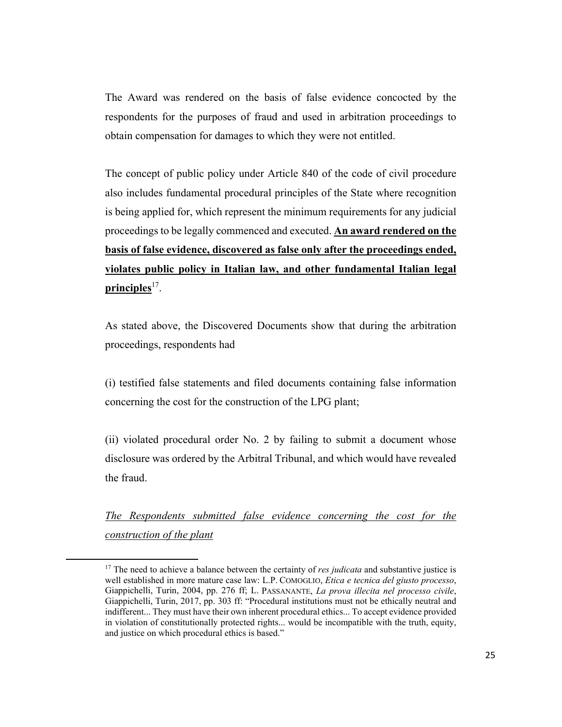The Award was rendered on the basis of false evidence concocted by the respondents for the purposes of fraud and used in arbitration proceedings to obtain compensation for damages to which they were not entitled.

The concept of public policy under Article 840 of the code of civil procedure also includes fundamental procedural principles of the State where recognition is being applied for, which represent the minimum requirements for any judicial proceedings to be legally commenced and executed. **An award rendered on the basis of false evidence, discovered as false only after the proceedings ended, violates public policy in Italian law, and other fundamental Italian legal principles**<sup>17</sup>.

As stated above, the Discovered Documents show that during the arbitration proceedings, respondents had

(i) testified false statements and filed documents containing false information concerning the cost for the construction of the LPG plant;

(ii) violated procedural order No. 2 by failing to submit a document whose disclosure was ordered by the Arbitral Tribunal, and which would have revealed the fraud.

*The Respondents submitted false evidence concerning the cost for the construction of the plant* 

<sup>&</sup>lt;sup>17</sup> The need to achieve a balance between the certainty of *res judicata* and substantive justice is well established in more mature case law: L.P. COMOGLIO, *Etica e tecnica del giusto processo*, Giappichelli, Turin, 2004, pp. 276 ff; L. PASSANANTE, *La prova illecita nel processo civile*, Giappichelli, Turin, 2017, pp. 303 ff: "Procedural institutions must not be ethically neutral and indifferent... They must have their own inherent procedural ethics... To accept evidence provided in violation of constitutionally protected rights... would be incompatible with the truth, equity, and justice on which procedural ethics is based."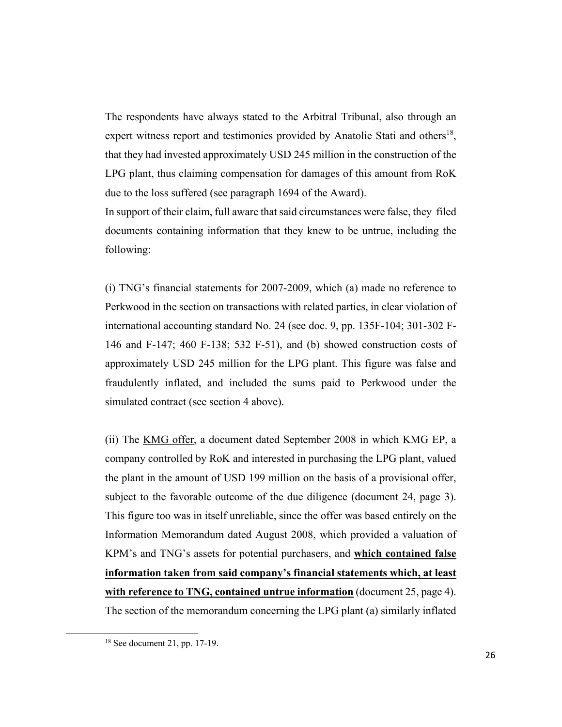The respondents have always stated to the Arbitral Tribunal, also through an expert witness report and testimonies provided by Anatolie Stati and others<sup>18</sup>, that they had invested approximately USD 245 million in the construction of the LPG plant, thus claiming compensation for damages of this amount from RoK due to the loss suffered (see paragraph 1694 of the Award).

In support of their claim, full aware that said circumstances were false, they filed documents containing information that they knew to be untrue, including the following:

(i) TNG's financial statements for 2007-2009, which (a) made no reference to Perkwood in the section on transactions with related parties, in clear violation of international accounting standard No. 24 (see doc. 9, pp. 135F-104; 301-302 F-146 and F-147; 460 F-138; 532 F-51), and (b) showed construction costs of approximately USD 245 million for the LPG plant. This figure was false and fraudulently inflated, and included the sums paid to Perkwood under the simulated contract (see section 4 above).

(ii) The KMG offer, a document dated September 2008 in which KMG EP, a company controlled by RoK and interested in purchasing the LPG plant, valued the plant in the amount of USD 199 million on the basis of a provisional offer, subject to the favorable outcome of the due diligence (document 24, page 3). This figure too was in itself unreliable, since the offer was based entirely on the Information Memorandum dated August 2008, which provided a valuation of KPM's and TNG's assets for potential purchasers, and **which contained false information taken from said company's financial statements which, at least with reference to TNG, contained untrue information** (document 25, page 4). The section of the memorandum concerning the LPG plant (a) similarly inflated

<sup>18</sup> See document 21, pp. 17-19.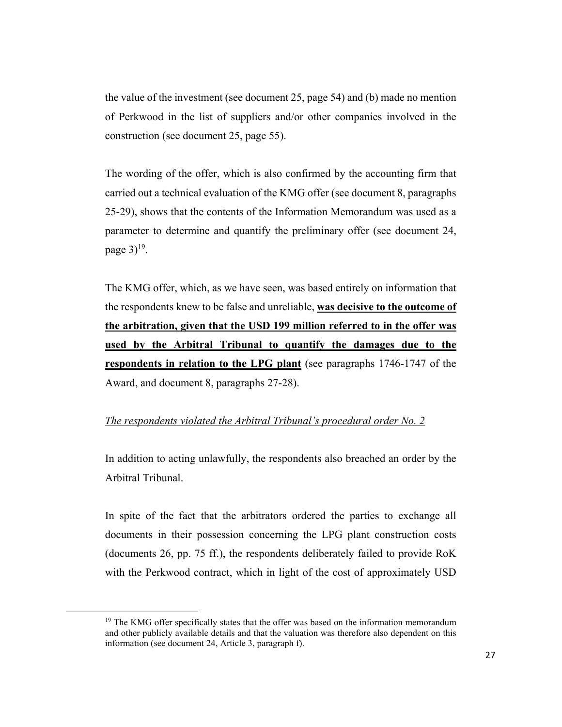the value of the investment (see document 25, page 54) and (b) made no mention of Perkwood in the list of suppliers and/or other companies involved in the construction (see document 25, page 55).

The wording of the offer, which is also confirmed by the accounting firm that carried out a technical evaluation of the KMG offer (see document 8, paragraphs 25-29), shows that the contents of the Information Memorandum was used as a parameter to determine and quantify the preliminary offer (see document 24, page  $3$ <sup>19</sup>.

The KMG offer, which, as we have seen, was based entirely on information that the respondents knew to be false and unreliable, **was decisive to the outcome of the arbitration, given that the USD 199 million referred to in the offer was used by the Arbitral Tribunal to quantify the damages due to the respondents in relation to the LPG plant** (see paragraphs 1746-1747 of the Award, and document 8, paragraphs 27-28).

### *The respondents violated the Arbitral Tribunal's procedural order No. 2*

In addition to acting unlawfully, the respondents also breached an order by the Arbitral Tribunal.

In spite of the fact that the arbitrators ordered the parties to exchange all documents in their possession concerning the LPG plant construction costs (documents 26, pp. 75 ff.), the respondents deliberately failed to provide RoK with the Perkwood contract, which in light of the cost of approximately USD

<sup>&</sup>lt;sup>19</sup> The KMG offer specifically states that the offer was based on the information memorandum and other publicly available details and that the valuation was therefore also dependent on this information (see document 24, Article 3, paragraph f).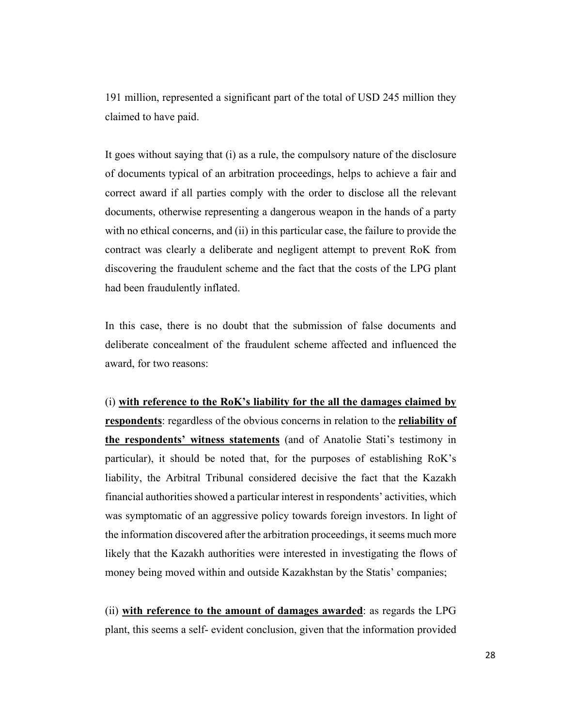191 million, represented a significant part of the total of USD 245 million they claimed to have paid.

It goes without saying that (i) as a rule, the compulsory nature of the disclosure of documents typical of an arbitration proceedings, helps to achieve a fair and correct award if all parties comply with the order to disclose all the relevant documents, otherwise representing a dangerous weapon in the hands of a party with no ethical concerns, and (ii) in this particular case, the failure to provide the contract was clearly a deliberate and negligent attempt to prevent RoK from discovering the fraudulent scheme and the fact that the costs of the LPG plant had been fraudulently inflated.

In this case, there is no doubt that the submission of false documents and deliberate concealment of the fraudulent scheme affected and influenced the award, for two reasons:

(i) **with reference to the RoK's liability for the all the damages claimed by respondents**: regardless of the obvious concerns in relation to the **reliability of the respondents' witness statements** (and of Anatolie Stati's testimony in particular), it should be noted that, for the purposes of establishing RoK's liability, the Arbitral Tribunal considered decisive the fact that the Kazakh financial authorities showed a particular interest in respondents' activities, which was symptomatic of an aggressive policy towards foreign investors. In light of the information discovered after the arbitration proceedings, it seems much more likely that the Kazakh authorities were interested in investigating the flows of money being moved within and outside Kazakhstan by the Statis' companies;

(ii) **with reference to the amount of damages awarded**: as regards the LPG plant, this seems a self- evident conclusion, given that the information provided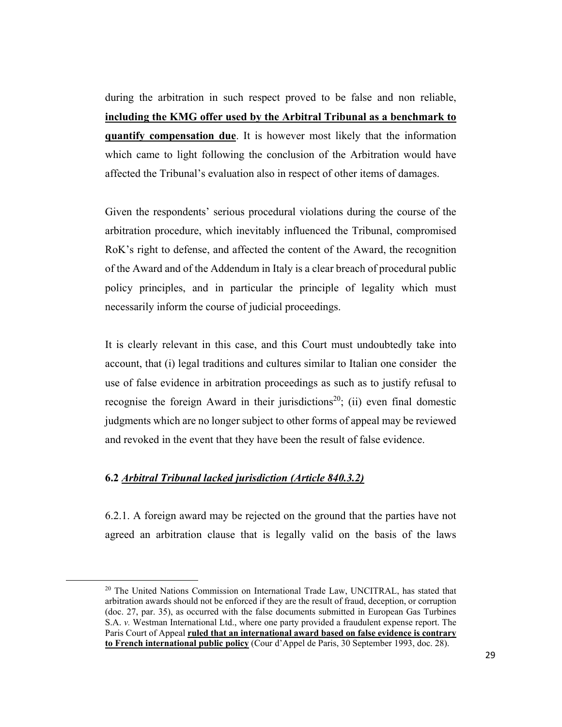during the arbitration in such respect proved to be false and non reliable, **including the KMG offer used by the Arbitral Tribunal as a benchmark to quantify compensation due**. It is however most likely that the information which came to light following the conclusion of the Arbitration would have affected the Tribunal's evaluation also in respect of other items of damages.

Given the respondents' serious procedural violations during the course of the arbitration procedure, which inevitably influenced the Tribunal, compromised RoK's right to defense, and affected the content of the Award, the recognition of the Award and of the Addendum in Italy is a clear breach of procedural public policy principles, and in particular the principle of legality which must necessarily inform the course of judicial proceedings.

It is clearly relevant in this case, and this Court must undoubtedly take into account, that (i) legal traditions and cultures similar to Italian one consider the use of false evidence in arbitration proceedings as such as to justify refusal to recognise the foreign Award in their jurisdictions<sup>20</sup>; (ii) even final domestic judgments which are no longer subject to other forms of appeal may be reviewed and revoked in the event that they have been the result of false evidence.

### **6.2** *Arbitral Tribunal lacked jurisdiction (Article 840.3.2)*

6.2.1. A foreign award may be rejected on the ground that the parties have not agreed an arbitration clause that is legally valid on the basis of the laws

<sup>&</sup>lt;sup>20</sup> The United Nations Commission on International Trade Law, UNCITRAL, has stated that arbitration awards should not be enforced if they are the result of fraud, deception, or corruption (doc. 27, par. 35), as occurred with the false documents submitted in European Gas Turbines S.A. *v.* Westman International Ltd., where one party provided a fraudulent expense report. The Paris Court of Appeal **ruled that an international award based on false evidence is contrary to French international public policy** (Cour d'Appel de Paris, 30 September 1993, doc. 28).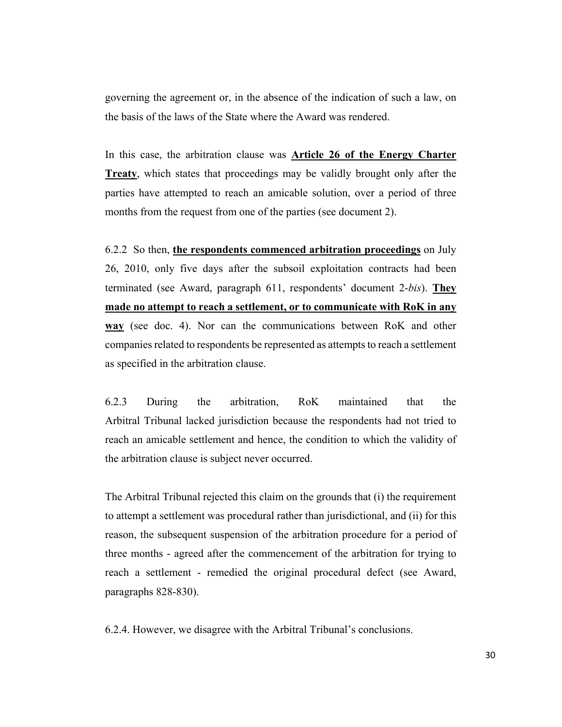governing the agreement or, in the absence of the indication of such a law, on the basis of the laws of the State where the Award was rendered.

In this case, the arbitration clause was **Article 26 of the Energy Charter Treaty**, which states that proceedings may be validly brought only after the parties have attempted to reach an amicable solution, over a period of three months from the request from one of the parties (see document 2).

6.2.2 So then, **the respondents commenced arbitration proceedings** on July 26, 2010, only five days after the subsoil exploitation contracts had been terminated (see Award, paragraph 611, respondents' document 2-*bis*). **They made no attempt to reach a settlement, or to communicate with RoK in any way** (see doc. 4). Nor can the communications between RoK and other companies related to respondents be represented as attempts to reach a settlement as specified in the arbitration clause.

6.2.3 During the arbitration, RoK maintained that the Arbitral Tribunal lacked jurisdiction because the respondents had not tried to reach an amicable settlement and hence, the condition to which the validity of the arbitration clause is subject never occurred.

The Arbitral Tribunal rejected this claim on the grounds that (i) the requirement to attempt a settlement was procedural rather than jurisdictional, and (ii) for this reason, the subsequent suspension of the arbitration procedure for a period of three months - agreed after the commencement of the arbitration for trying to reach a settlement - remedied the original procedural defect (see Award, paragraphs 828-830).

6.2.4. However, we disagree with the Arbitral Tribunal's conclusions.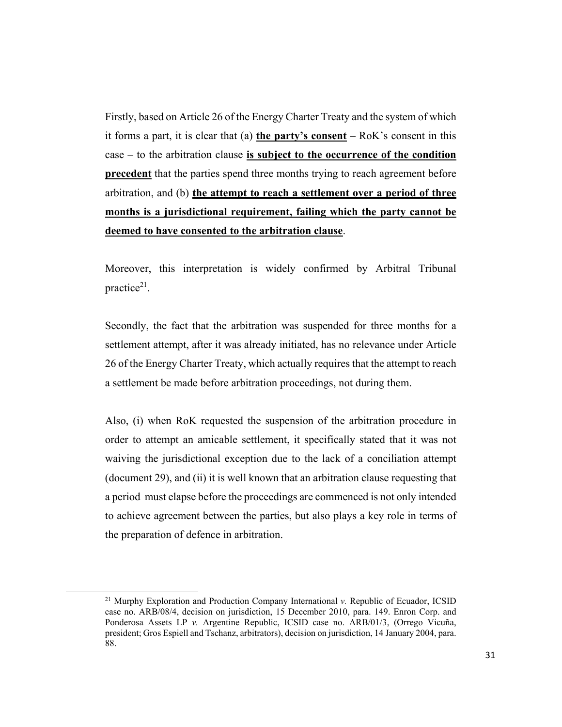Firstly, based on Article 26 of the Energy Charter Treaty and the system of which it forms a part, it is clear that (a) **the party's consent** – RoK's consent in this case – to the arbitration clause **is subject to the occurrence of the condition precedent** that the parties spend three months trying to reach agreement before arbitration, and (b) **the attempt to reach a settlement over a period of three months is a jurisdictional requirement, failing which the party cannot be deemed to have consented to the arbitration clause**.

Moreover, this interpretation is widely confirmed by Arbitral Tribunal practice $2<sup>1</sup>$ .

Secondly, the fact that the arbitration was suspended for three months for a settlement attempt, after it was already initiated, has no relevance under Article 26 of the Energy Charter Treaty, which actually requires that the attempt to reach a settlement be made before arbitration proceedings, not during them.

Also, (i) when RoK requested the suspension of the arbitration procedure in order to attempt an amicable settlement, it specifically stated that it was not waiving the jurisdictional exception due to the lack of a conciliation attempt (document 29), and (ii) it is well known that an arbitration clause requesting that a period must elapse before the proceedings are commenced is not only intended to achieve agreement between the parties, but also plays a key role in terms of the preparation of defence in arbitration.

<sup>21</sup> Murphy Exploration and Production Company International *v.* Republic of Ecuador, ICSID case no. ARB/08/4, decision on jurisdiction, 15 December 2010, para. 149. Enron Corp. and Ponderosa Assets LP *v.* Argentine Republic, ICSID case no. ARB/01/3, (Orrego Vicuña, president; Gros Espiell and Tschanz, arbitrators), decision on jurisdiction, 14 January 2004, para. 88.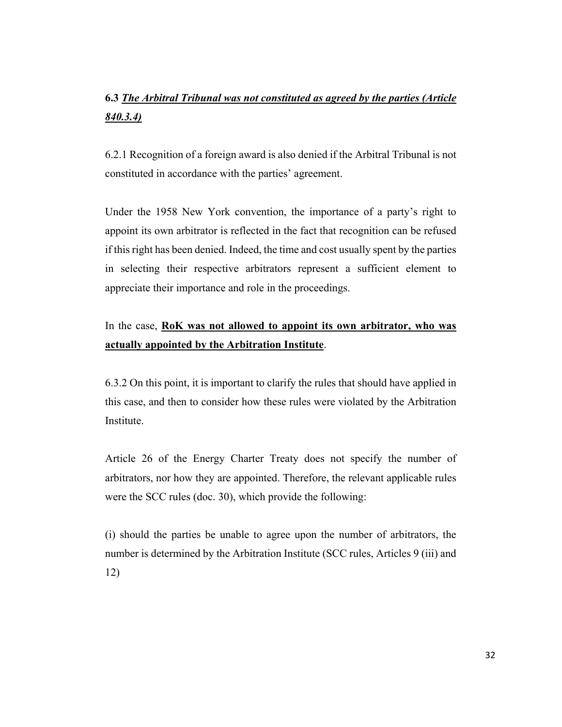# **6.3** *The Arbitral Tribunal was not constituted as agreed by the parties (Article 840.3.4)*

6.2.1 Recognition of a foreign award is also denied if the Arbitral Tribunal is not constituted in accordance with the parties' agreement.

Under the 1958 New York convention, the importance of a party's right to appoint its own arbitrator is reflected in the fact that recognition can be refused if this right has been denied. Indeed, the time and cost usually spent by the parties in selecting their respective arbitrators represent a sufficient element to appreciate their importance and role in the proceedings.

# In the case, **RoK was not allowed to appoint its own arbitrator, who was actually appointed by the Arbitration Institute**.

6.3.2 On this point, it is important to clarify the rules that should have applied in this case, and then to consider how these rules were violated by the Arbitration Institute.

Article 26 of the Energy Charter Treaty does not specify the number of arbitrators, nor how they are appointed. Therefore, the relevant applicable rules were the SCC rules (doc. 30), which provide the following:

(i) should the parties be unable to agree upon the number of arbitrators, the number is determined by the Arbitration Institute (SCC rules, Articles 9 (iii) and 12)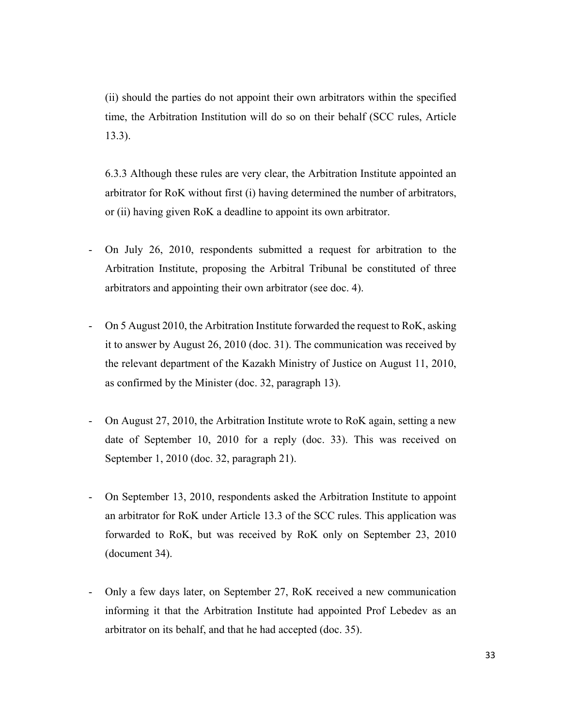(ii) should the parties do not appoint their own arbitrators within the specified time, the Arbitration Institution will do so on their behalf (SCC rules, Article 13.3).

6.3.3 Although these rules are very clear, the Arbitration Institute appointed an arbitrator for RoK without first (i) having determined the number of arbitrators, or (ii) having given RoK a deadline to appoint its own arbitrator.

- On July 26, 2010, respondents submitted a request for arbitration to the Arbitration Institute, proposing the Arbitral Tribunal be constituted of three arbitrators and appointing their own arbitrator (see doc. 4).
- On 5 August 2010, the Arbitration Institute forwarded the request to RoK, asking it to answer by August 26, 2010 (doc. 31). The communication was received by the relevant department of the Kazakh Ministry of Justice on August 11, 2010, as confirmed by the Minister (doc. 32, paragraph 13).
- On August 27, 2010, the Arbitration Institute wrote to RoK again, setting a new date of September 10, 2010 for a reply (doc. 33). This was received on September 1, 2010 (doc. 32, paragraph 21).
- On September 13, 2010, respondents asked the Arbitration Institute to appoint an arbitrator for RoK under Article 13.3 of the SCC rules. This application was forwarded to RoK, but was received by RoK only on September 23, 2010 (document 34).
- Only a few days later, on September 27, RoK received a new communication informing it that the Arbitration Institute had appointed Prof Lebedev as an arbitrator on its behalf, and that he had accepted (doc. 35).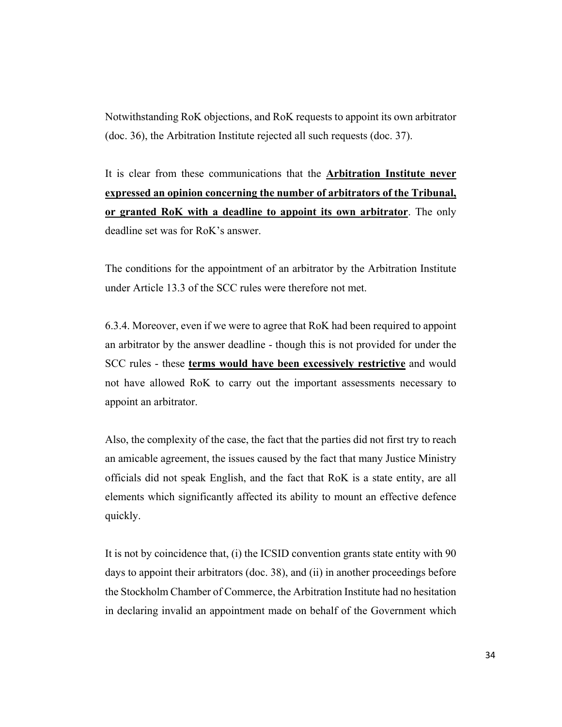Notwithstanding RoK objections, and RoK requests to appoint its own arbitrator (doc. 36), the Arbitration Institute rejected all such requests (doc. 37).

It is clear from these communications that the **Arbitration Institute never expressed an opinion concerning the number of arbitrators of the Tribunal, or granted RoK with a deadline to appoint its own arbitrator**. The only deadline set was for RoK's answer.

The conditions for the appointment of an arbitrator by the Arbitration Institute under Article 13.3 of the SCC rules were therefore not met.

6.3.4. Moreover, even if we were to agree that RoK had been required to appoint an arbitrator by the answer deadline - though this is not provided for under the SCC rules - these **terms would have been excessively restrictive** and would not have allowed RoK to carry out the important assessments necessary to appoint an arbitrator.

Also, the complexity of the case, the fact that the parties did not first try to reach an amicable agreement, the issues caused by the fact that many Justice Ministry officials did not speak English, and the fact that RoK is a state entity, are all elements which significantly affected its ability to mount an effective defence quickly.

It is not by coincidence that, (i) the ICSID convention grants state entity with 90 days to appoint their arbitrators (doc. 38), and (ii) in another proceedings before the Stockholm Chamber of Commerce, the Arbitration Institute had no hesitation in declaring invalid an appointment made on behalf of the Government which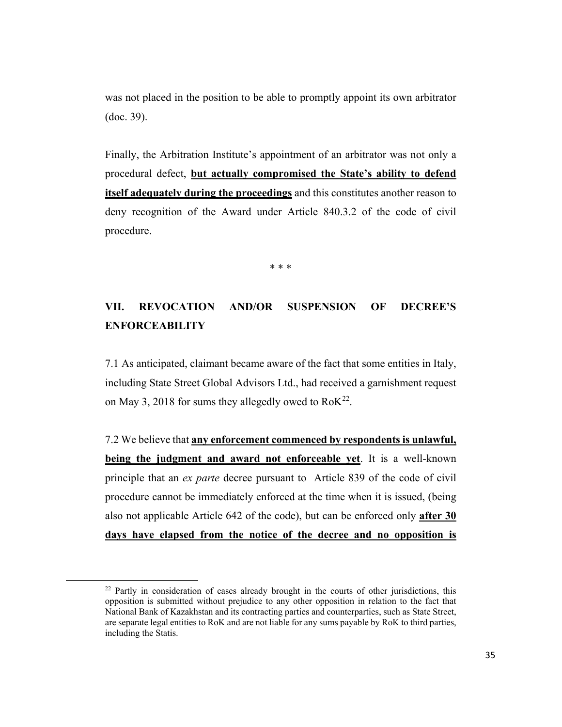was not placed in the position to be able to promptly appoint its own arbitrator (doc. 39).

Finally, the Arbitration Institute's appointment of an arbitrator was not only a procedural defect, **but actually compromised the State's ability to defend itself adequately during the proceedings** and this constitutes another reason to deny recognition of the Award under Article 840.3.2 of the code of civil procedure.

\* \* \*

# **VII. REVOCATION AND/OR SUSPENSION OF DECREE'S ENFORCEABILITY**

7.1 As anticipated, claimant became aware of the fact that some entities in Italy, including State Street Global Advisors Ltd., had received a garnishment request on May 3, 2018 for sums they allegedly owed to  $RoK<sup>22</sup>$ .

7.2 We believe that **any enforcement commenced by respondents is unlawful, being the judgment and award not enforceable yet**. It is a well-known principle that an *ex parte* decree pursuant to Article 839 of the code of civil procedure cannot be immediately enforced at the time when it is issued, (being also not applicable Article 642 of the code), but can be enforced only **after 30 days have elapsed from the notice of the decree and no opposition is** 

 $22$  Partly in consideration of cases already brought in the courts of other jurisdictions, this opposition is submitted without prejudice to any other opposition in relation to the fact that National Bank of Kazakhstan and its contracting parties and counterparties, such as State Street, are separate legal entities to RoK and are not liable for any sums payable by RoK to third parties, including the Statis.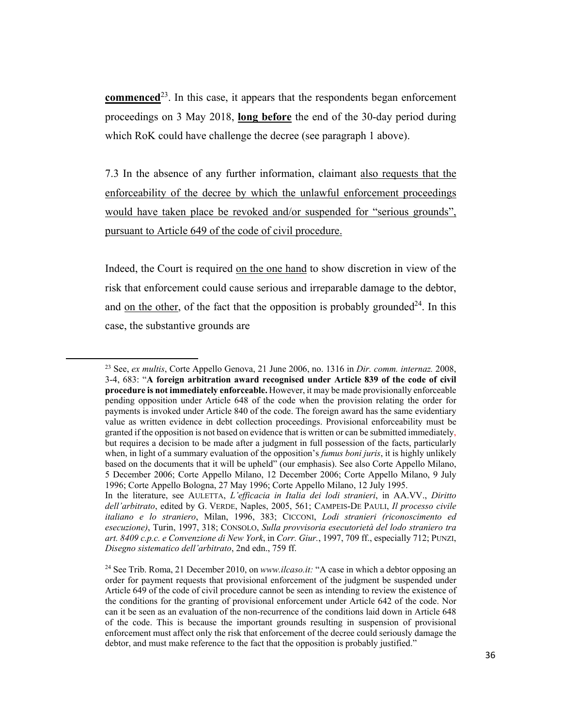**commenced**<sup>23</sup>. In this case, it appears that the respondents began enforcement proceedings on 3 May 2018, **long before** the end of the 30-day period during which RoK could have challenge the decree (see paragraph 1 above).

7.3 In the absence of any further information, claimant also requests that the enforceability of the decree by which the unlawful enforcement proceedings would have taken place be revoked and/or suspended for "serious grounds", pursuant to Article 649 of the code of civil procedure.

Indeed, the Court is required on the one hand to show discretion in view of the risk that enforcement could cause serious and irreparable damage to the debtor, and on the other, of the fact that the opposition is probably grounded<sup>24</sup>. In this case, the substantive grounds are

<sup>23</sup> See, *ex multis*, Corte Appello Genova, 21 June 2006, no. 1316 in *Dir. comm. internaz.* 2008, 3-4, 683: "**A foreign arbitration award recognised under Article 839 of the code of civil procedure is not immediately enforceable.** However, it may be made provisionally enforceable pending opposition under Article 648 of the code when the provision relating the order for payments is invoked under Article 840 of the code. The foreign award has the same evidentiary value as written evidence in debt collection proceedings. Provisional enforceability must be granted if the opposition is not based on evidence that is written or can be submitted immediately, but requires a decision to be made after a judgment in full possession of the facts, particularly when, in light of a summary evaluation of the opposition's *fumus boni juris*, it is highly unlikely based on the documents that it will be upheld" (our emphasis). See also Corte Appello Milano, 5 December 2006; Corte Appello Milano, 12 December 2006; Corte Appello Milano, 9 July 1996; Corte Appello Bologna, 27 May 1996; Corte Appello Milano, 12 July 1995.

In the literature, see AULETTA, *L'efficacia in Italia dei lodi stranieri*, in AA.VV., *Diritto dell'arbitrato*, edited by G. VERDE, Naples, 2005, 561; CAMPEIS-DE PAULI, *Il processo civile italiano e lo straniero*, Milan, 1996, 383; CICCONI, *Lodi stranieri (riconoscimento ed esecuzione)*, Turin, 1997, 318; CONSOLO, *Sulla provvisoria esecutorietà del lodo straniero tra art. 8409 c.p.c. e Convenzione di New York*, in *Corr. Giur.*, 1997, 709 ff., especially 712; PUNZI, *Disegno sistematico dell'arbitrato*, 2nd edn., 759 ff.

<sup>24</sup> See Trib. Roma, 21 December 2010, on *www.ilcaso.it:* "A case in which a debtor opposing an order for payment requests that provisional enforcement of the judgment be suspended under Article 649 of the code of civil procedure cannot be seen as intending to review the existence of the conditions for the granting of provisional enforcement under Article 642 of the code. Nor can it be seen as an evaluation of the non-recurrence of the conditions laid down in Article 648 of the code. This is because the important grounds resulting in suspension of provisional enforcement must affect only the risk that enforcement of the decree could seriously damage the debtor, and must make reference to the fact that the opposition is probably justified."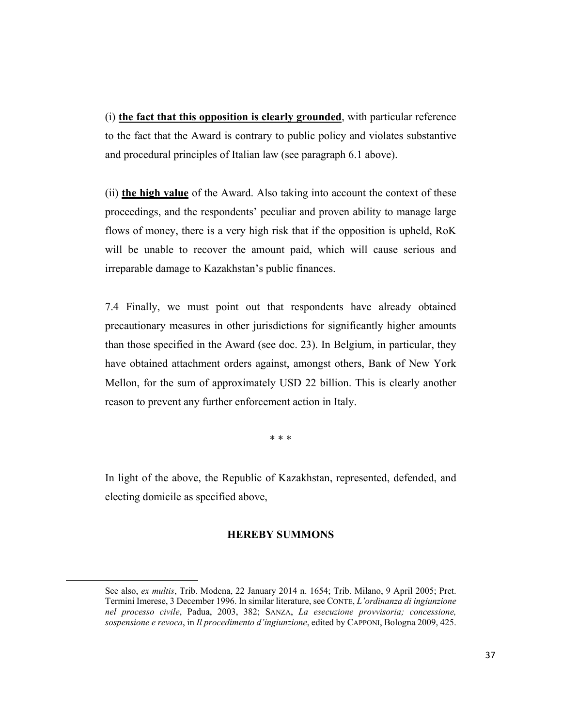(i) **the fact that this opposition is clearly grounded**, with particular reference to the fact that the Award is contrary to public policy and violates substantive and procedural principles of Italian law (see paragraph 6.1 above).

(ii) **the high value** of the Award. Also taking into account the context of these proceedings, and the respondents' peculiar and proven ability to manage large flows of money, there is a very high risk that if the opposition is upheld, RoK will be unable to recover the amount paid, which will cause serious and irreparable damage to Kazakhstan's public finances.

7.4 Finally, we must point out that respondents have already obtained precautionary measures in other jurisdictions for significantly higher amounts than those specified in the Award (see doc. 23). In Belgium, in particular, they have obtained attachment orders against, amongst others, Bank of New York Mellon, for the sum of approximately USD 22 billion. This is clearly another reason to prevent any further enforcement action in Italy.

\* \* \*

In light of the above, the Republic of Kazakhstan, represented, defended, and electing domicile as specified above,

### **HEREBY SUMMONS**

See also, *ex multis*, Trib. Modena, 22 January 2014 n. 1654; Trib. Milano, 9 April 2005; Pret. Termini Imerese, 3 December 1996. In similar literature, see CONTE, *L'ordinanza di ingiunzione nel processo civile*, Padua, 2003, 382; SANZA, *La esecuzione provvisoria; concessione, sospensione e revoca*, in *Il procedimento d'ingiunzione*, edited by CAPPONI, Bologna 2009, 425.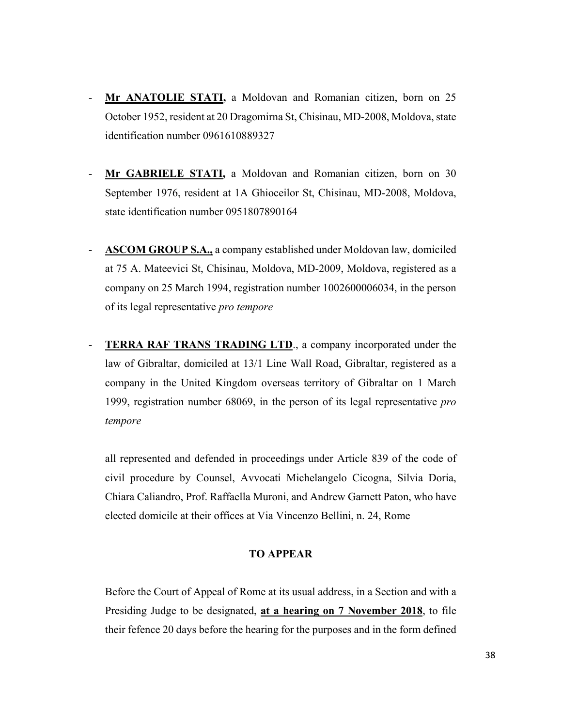- Mr ANATOLIE STATI, a Moldovan and Romanian citizen, born on 25 October 1952, resident at 20 Dragomirna St, Chisinau, MD-2008, Moldova, state identification number 0961610889327
- **Mr GABRIELE STATI,** a Moldovan and Romanian citizen, born on 30 September 1976, resident at 1A Ghioceilor St, Chisinau, MD-2008, Moldova, state identification number 0951807890164
- ASCOM GROUP S.A., a company established under Moldovan law, domiciled at 75 A. Mateevici St, Chisinau, Moldova, MD-2009, Moldova, registered as a company on 25 March 1994, registration number 1002600006034, in the person of its legal representative *pro tempore*
- **TERRA RAF TRANS TRADING LTD., a company incorporated under the** law of Gibraltar, domiciled at 13/1 Line Wall Road, Gibraltar, registered as a company in the United Kingdom overseas territory of Gibraltar on 1 March 1999, registration number 68069, in the person of its legal representative *pro tempore*

all represented and defended in proceedings under Article 839 of the code of civil procedure by Counsel, Avvocati Michelangelo Cicogna, Silvia Doria, Chiara Caliandro, Prof. Raffaella Muroni, and Andrew Garnett Paton, who have elected domicile at their offices at Via Vincenzo Bellini, n. 24, Rome

#### **TO APPEAR**

Before the Court of Appeal of Rome at its usual address, in a Section and with a Presiding Judge to be designated, **at a hearing on 7 November 2018**, to file their fefence 20 days before the hearing for the purposes and in the form defined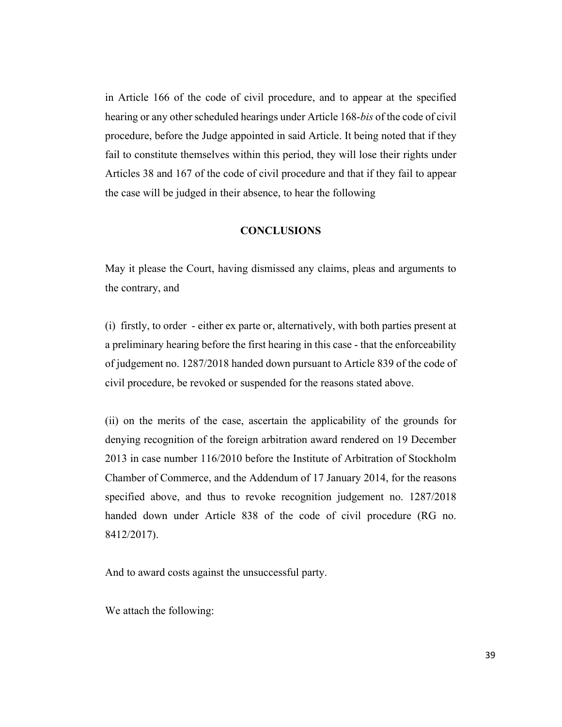in Article 166 of the code of civil procedure, and to appear at the specified hearing or any other scheduled hearings under Article 168-*bis* of the code of civil procedure, before the Judge appointed in said Article. It being noted that if they fail to constitute themselves within this period, they will lose their rights under Articles 38 and 167 of the code of civil procedure and that if they fail to appear the case will be judged in their absence, to hear the following

#### **CONCLUSIONS**

May it please the Court, having dismissed any claims, pleas and arguments to the contrary, and

(i) firstly, to order - either ex parte or, alternatively, with both parties present at a preliminary hearing before the first hearing in this case - that the enforceability of judgement no. 1287/2018 handed down pursuant to Article 839 of the code of civil procedure, be revoked or suspended for the reasons stated above.

(ii) on the merits of the case, ascertain the applicability of the grounds for denying recognition of the foreign arbitration award rendered on 19 December 2013 in case number 116/2010 before the Institute of Arbitration of Stockholm Chamber of Commerce, and the Addendum of 17 January 2014, for the reasons specified above, and thus to revoke recognition judgement no. 1287/2018 handed down under Article 838 of the code of civil procedure (RG no. 8412/2017).

And to award costs against the unsuccessful party.

We attach the following: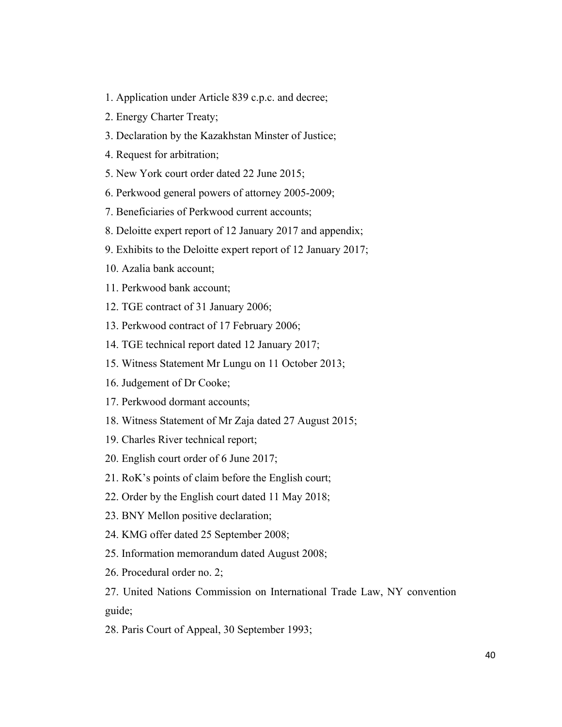- 1. Application under Article 839 c.p.c. and decree;
- 2. Energy Charter Treaty;
- 3. Declaration by the Kazakhstan Minster of Justice;
- 4. Request for arbitration;
- 5. New York court order dated 22 June 2015;
- 6. Perkwood general powers of attorney 2005-2009;
- 7. Beneficiaries of Perkwood current accounts;
- 8. Deloitte expert report of 12 January 2017 and appendix;
- 9. Exhibits to the Deloitte expert report of 12 January 2017;
- 10. Azalia bank account;
- 11. Perkwood bank account;
- 12. TGE contract of 31 January 2006;
- 13. Perkwood contract of 17 February 2006;
- 14. TGE technical report dated 12 January 2017;
- 15. Witness Statement Mr Lungu on 11 October 2013;
- 16. Judgement of Dr Cooke;
- 17. Perkwood dormant accounts;
- 18. Witness Statement of Mr Zaja dated 27 August 2015;
- 19. Charles River technical report;
- 20. English court order of 6 June 2017;
- 21. RoK's points of claim before the English court;
- 22. Order by the English court dated 11 May 2018;
- 23. BNY Mellon positive declaration;
- 24. KMG offer dated 25 September 2008;
- 25. Information memorandum dated August 2008;
- 26. Procedural order no. 2;

27. United Nations Commission on International Trade Law, NY convention guide;

28. Paris Court of Appeal, 30 September 1993;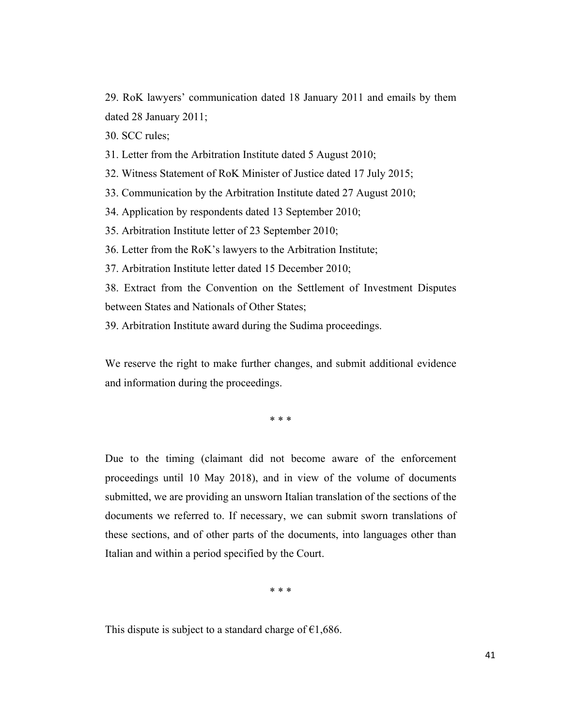29. RoK lawyers' communication dated 18 January 2011 and emails by them dated 28 January 2011;

30. SCC rules;

31. Letter from the Arbitration Institute dated 5 August 2010;

32. Witness Statement of RoK Minister of Justice dated 17 July 2015;

33. Communication by the Arbitration Institute dated 27 August 2010;

34. Application by respondents dated 13 September 2010;

35. Arbitration Institute letter of 23 September 2010;

36. Letter from the RoK's lawyers to the Arbitration Institute;

37. Arbitration Institute letter dated 15 December 2010;

38. Extract from the Convention on the Settlement of Investment Disputes between States and Nationals of Other States;

39. Arbitration Institute award during the Sudima proceedings.

We reserve the right to make further changes, and submit additional evidence and information during the proceedings.

\* \* \*

Due to the timing (claimant did not become aware of the enforcement proceedings until 10 May 2018), and in view of the volume of documents submitted, we are providing an unsworn Italian translation of the sections of the documents we referred to. If necessary, we can submit sworn translations of these sections, and of other parts of the documents, into languages other than Italian and within a period specified by the Court.

\* \* \*

This dispute is subject to a standard charge of  $\epsilon$ 1,686.